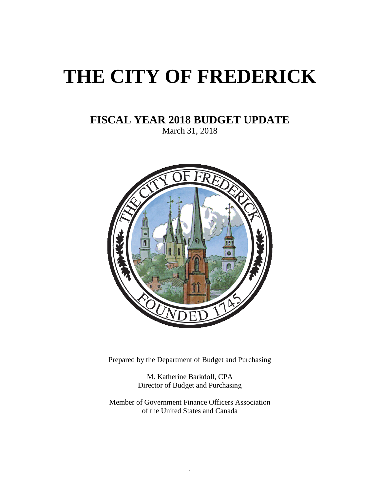# <span id="page-0-0"></span>**THE CITY OF FREDERICK**

## **FISCAL YEAR 2018 BUDGET UPDATE**

March 31, 2018



Prepared by the Department of Budget and Purchasing

M. Katherine Barkdoll, CPA Director of Budget and Purchasing

Member of Government Finance Officers Association of the United States and Canada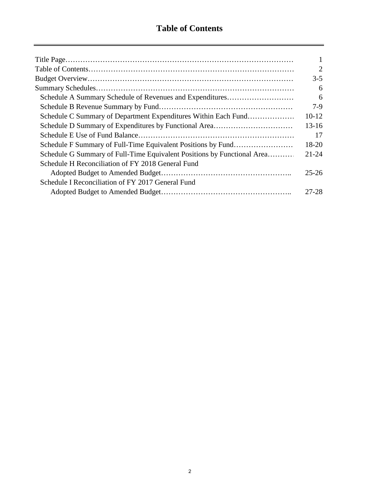$\equiv$ 

|                                                                         | $\overline{2}$ |
|-------------------------------------------------------------------------|----------------|
|                                                                         | $3-5$          |
|                                                                         | 6              |
| Schedule A Summary Schedule of Revenues and Expenditures                | 6              |
|                                                                         | 7-9            |
| Schedule C Summary of Department Expenditures Within Each Fund          | 10-12          |
|                                                                         | $13 - 16$      |
|                                                                         | 17             |
| Schedule F Summary of Full-Time Equivalent Positions by Fund            | 18-20          |
| Schedule G Summary of Full-Time Equivalent Positions by Functional Area | $21 - 24$      |
| Schedule H Reconciliation of FY 2018 General Fund                       |                |
|                                                                         | $25 - 26$      |
| Schedule I Reconciliation of FY 2017 General Fund                       |                |
|                                                                         | 27-28          |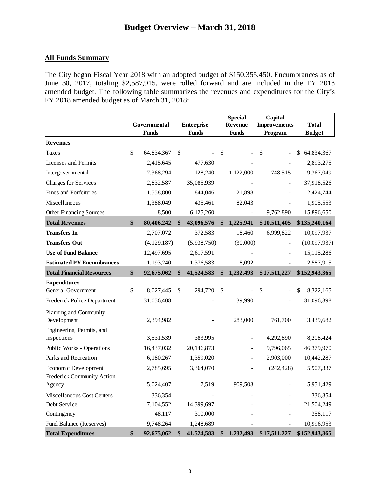## <span id="page-2-0"></span>**All Funds Summary**

The City began Fiscal Year 2018 with an adopted budget of \$150,355,450. Encumbrances as of June 30, 2017, totaling \$2,587,915, were rolled forward and are included in the FY 2018 amended budget. The following table summarizes the revenues and expenditures for the City's FY 2018 amended budget as of March 31, 2018:

|                                          | Governmental<br><b>Funds</b> | <b>Enterprise</b><br><b>Funds</b> |               | <b>Special</b><br><b>Revenue</b><br><b>Funds</b> | Capital<br><b>Improvements</b><br>Program | <b>Total</b><br><b>Budget</b> |
|------------------------------------------|------------------------------|-----------------------------------|---------------|--------------------------------------------------|-------------------------------------------|-------------------------------|
| <b>Revenues</b>                          |                              |                                   |               |                                                  |                                           |                               |
| Taxes                                    | \$<br>64,834,367             | \$                                | \$            |                                                  | \$                                        | \$<br>64,834,367              |
| Licenses and Permits                     | 2,415,645                    | 477,630                           |               |                                                  |                                           | 2,893,275                     |
| Intergovernmental                        | 7,368,294                    | 128,240                           |               | 1,122,000                                        | 748,515                                   | 9,367,049                     |
| <b>Charges for Services</b>              | 2,832,587                    | 35,085,939                        |               |                                                  |                                           | 37,918,526                    |
| Fines and Forfeitures                    | 1,558,800                    | 844,046                           |               | 21,898                                           |                                           | 2,424,744                     |
| Miscellaneous                            | 1,388,049                    | 435,461                           |               | 82,043                                           |                                           | 1,905,553                     |
| Other Financing Sources                  | 8,500                        | 6,125,260                         |               |                                                  | 9,762,890                                 | 15,896,650                    |
| <b>Total Revenues</b>                    | \$<br>80,406,242             | \$<br>43,096,576                  | \$            | 1,225,941                                        | \$10,511,405                              | \$135,240,164                 |
| <b>Transfers In</b>                      | 2,707,072                    | 372,583                           |               | 18,460                                           | 6,999,822                                 | 10,097,937                    |
| <b>Transfers Out</b>                     | (4, 129, 187)                | (5,938,750)                       |               | (30,000)                                         |                                           | (10,097,937)                  |
| <b>Use of Fund Balance</b>               | 12,497,695                   | 2,617,591                         |               |                                                  |                                           | 15,115,286                    |
| <b>Estimated PY Encumbrances</b>         | 1,193,240                    | 1,376,583                         |               | 18,092                                           |                                           | 2,587,915                     |
| <b>Total Financial Resources</b>         | \$<br>92,675,062             | \$<br>41,524,583                  | \$            | 1,232,493                                        | \$17,511,227                              | \$152,943,365                 |
| <b>Expenditures</b>                      |                              |                                   |               |                                                  |                                           |                               |
| General Government                       | \$<br>8,027,445              | \$<br>294,720                     | $\mathcal{S}$ |                                                  | \$                                        | \$<br>8,322,165               |
| Frederick Police Department              | 31,056,408                   |                                   |               | 39,990                                           |                                           | 31,096,398                    |
| Planning and Community                   |                              |                                   |               |                                                  |                                           |                               |
| Development                              | 2,394,982                    |                                   |               | 283,000                                          | 761,700                                   | 3,439,682                     |
| Engineering, Permits, and<br>Inspections | 3,531,539                    | 383,995                           |               |                                                  | 4,292,890                                 | 8,208,424                     |
| Public Works - Operations                | 16,437,032                   | 20,146,873                        |               |                                                  | 9,796,065                                 | 46,379,970                    |
| Parks and Recreation                     | 6,180,267                    | 1,359,020                         |               |                                                  | 2,903,000                                 | 10,442,287                    |
| Economic Development                     | 2,785,695                    | 3,364,070                         |               |                                                  | (242, 428)                                | 5,907,337                     |
| Frederick Community Action               |                              |                                   |               |                                                  |                                           |                               |
| Agency                                   | 5,024,407                    | 17,519                            |               | 909,503                                          |                                           | 5,951,429                     |
| Miscellaneous Cost Centers               | 336,354                      |                                   |               |                                                  |                                           | 336,354                       |
| Debt Service                             | 7,104,552                    | 14,399,697                        |               |                                                  |                                           | 21,504,249                    |
| Contingency                              | 48,117                       | 310,000                           |               |                                                  |                                           | 358,117                       |
| Fund Balance (Reserves)                  | 9,748,264                    | 1,248,689                         |               |                                                  |                                           | 10,996,953                    |
| <b>Total Expenditures</b>                | \$<br>92,675,062             | \$<br>41,524,583                  | \$            | 1,232,493                                        | \$17,511,227                              | \$152,943,365                 |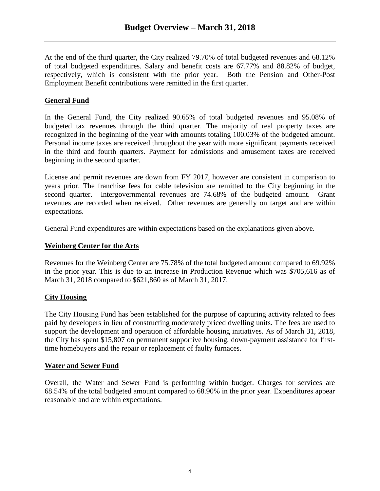At the end of the third quarter, the City realized 79.70% of total budgeted revenues and 68.12% of total budgeted expenditures. Salary and benefit costs are 67.77% and 88.82% of budget, respectively, which is consistent with the prior year. Both the Pension and Other-Post Employment Benefit contributions were remitted in the first quarter.

## **General Fund**

In the General Fund, the City realized 90.65% of total budgeted revenues and 95.08% of budgeted tax revenues through the third quarter. The majority of real property taxes are recognized in the beginning of the year with amounts totaling 100.03% of the budgeted amount. Personal income taxes are received throughout the year with more significant payments received in the third and fourth quarters. Payment for admissions and amusement taxes are received beginning in the second quarter.

License and permit revenues are down from FY 2017, however are consistent in comparison to years prior. The franchise fees for cable television are remitted to the City beginning in the second quarter. Intergovernmental revenues are 74.68% of the budgeted amount. Grant revenues are recorded when received. Other revenues are generally on target and are within expectations.

General Fund expenditures are within expectations based on the explanations given above.

## **Weinberg Center for the Arts**

Revenues for the Weinberg Center are 75.78% of the total budgeted amount compared to 69.92% in the prior year. This is due to an increase in Production Revenue which was \$705,616 as of March 31, 2018 compared to \$621,860 as of March 31, 2017.

## **City Housing**

The City Housing Fund has been established for the purpose of capturing activity related to fees paid by developers in lieu of constructing moderately priced dwelling units. The fees are used to support the development and operation of affordable housing initiatives. As of March 31, 2018, the City has spent \$15,807 on permanent supportive housing, down-payment assistance for firsttime homebuyers and the repair or replacement of faulty furnaces.

## **Water and Sewer Fund**

Overall, the Water and Sewer Fund is performing within budget. Charges for services are 68.54% of the total budgeted amount compared to 68.90% in the prior year. Expenditures appear reasonable and are within expectations.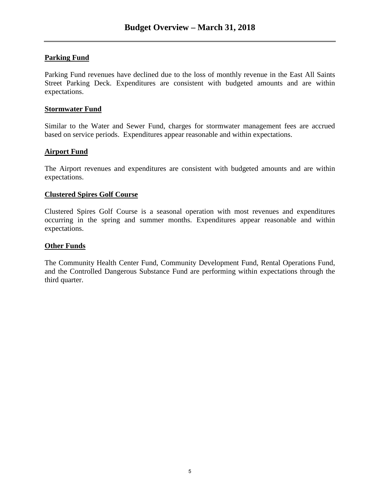## **Parking Fund**

Parking Fund revenues have declined due to the loss of monthly revenue in the East All Saints Street Parking Deck. Expenditures are consistent with budgeted amounts and are within expectations.

## **Stormwater Fund**

Similar to the Water and Sewer Fund, charges for stormwater management fees are accrued based on service periods. Expenditures appear reasonable and within expectations.

## **Airport Fund**

The Airport revenues and expenditures are consistent with budgeted amounts and are within expectations.

## **Clustered Spires Golf Course**

Clustered Spires Golf Course is a seasonal operation with most revenues and expenditures occurring in the spring and summer months. Expenditures appear reasonable and within expectations.

## **Other Funds**

The Community Health Center Fund, Community Development Fund, Rental Operations Fund, and the Controlled Dangerous Substance Fund are performing within expectations through the third quarter.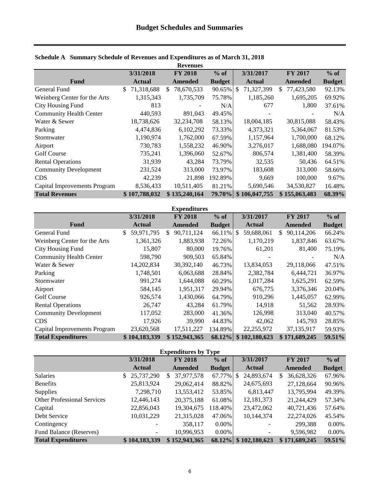|                                |                  | <b>Revenues</b>   |               |                        |                  |               |
|--------------------------------|------------------|-------------------|---------------|------------------------|------------------|---------------|
|                                | 3/31/2018        | <b>FY 2018</b>    | $%$ of        | 3/31/2017              | <b>FY 2017</b>   | $%$ of        |
| <b>Fund</b>                    | <b>Actual</b>    | Amended           | <b>Budget</b> | <b>Actual</b>          | Amended          | <b>Budget</b> |
| General Fund                   | 71,318,688<br>\$ | 78,670,533<br>\$. | 90.65%        | 71,327,399<br><b>S</b> | 77,423,580<br>S. | 92.13%        |
| Weinberg Center for the Arts   | 1,315,343        | 1,735,709         | 75.78%        | 1,185,260              | 1,695,205        | 69.92%        |
| City Housing Fund              | 813              |                   | N/A           | 677                    | 1,800            | 37.61%        |
| <b>Community Health Center</b> | 440,593          | 891,043           | 49.45%        |                        |                  | N/A           |
| Water & Sewer                  | 18,738,626       | 32,234,708        | 58.13%        | 18,004,185             | 30,815,088       | 58.43%        |
| Parking                        | 4,474,836        | 6,102,292         | 73.33%        | 4,373,321              | 5,364,067        | 81.53%        |
| Stormwater                     | 1,190,974        | 1,762,000         | 67.59%        | 1,157,964              | 1,700,000        | 68.12%        |
| Airport                        | 730,783          | 1,558,232         | 46.90%        | 3,276,017              | 1,688,080        | 194.07%       |
| <b>Golf Course</b>             | 735,241          | 1,396,060         | 52.67%        | 806,574                | 1,381,400        | 58.39%        |
| <b>Rental Operations</b>       | 31,939           | 43,284            | 73.79%        | 32,535                 | 50,436           | 64.51%        |
| <b>Community Development</b>   | 231,524          | 313,000           | 73.97%        | 183,608                | 313,000          | 58.66%        |
| <b>CDS</b>                     | 42,239           | 21,898            | 192.89%       | 9,669                  | 100,000          | 9.67%         |
| Capital Improvements Program   | 8,536,433        | 10,511,405        | 81.21%        | 5,690,546              | 34,530,827       | 16.48%        |
| <b>Total Revenues</b>          | \$107,788,032    | \$135,240,164     |               | 79.70% \$106,047,755   | \$155,063,483    | 68.39%        |

## <span id="page-5-0"></span>**Schedule A Summary Schedule of Revenues and Expenditures as of March 31, 2018**

| <b>Expenditures</b>            |                   |                  |               |                      |                   |               |  |  |  |  |  |
|--------------------------------|-------------------|------------------|---------------|----------------------|-------------------|---------------|--|--|--|--|--|
|                                | 3/31/2018         | <b>FY 2018</b>   | $%$ of        | 3/31/2017            | <b>FY 2017</b>    | $%$ of        |  |  |  |  |  |
| <b>Fund</b>                    | <b>Actual</b>     | <b>Amended</b>   | <b>Budget</b> | <b>Actual</b>        | Amended           | <b>Budget</b> |  |  |  |  |  |
| General Fund                   | 59,971,795<br>\$. | 90,711,124<br>\$ | 66.11%        | 59,688,061<br>-8     | 90,114,206<br>\$. | 66.24%        |  |  |  |  |  |
| Weinberg Center for the Arts   | 1,361,326         | 1,883,938        | 72.26%        | 1,170,219            | 1,837,846         | 63.67%        |  |  |  |  |  |
| City Housing Fund              | 15,807            | 80,000           | 19.76%        | 61,201               | 81,400            | 75.19%        |  |  |  |  |  |
| <b>Community Health Center</b> | 598,790           | 909,503          | 65.84%        | ۰                    |                   | N/A           |  |  |  |  |  |
| Water & Sewer                  | 14,202,834        | 30, 392, 140     | 46.73%        | 13,834,053           | 29,118,066        | 47.51%        |  |  |  |  |  |
| Parking                        | 1,748,501         | 6,063,688        | 28.84%        | 2,382,784            | 6,444,721         | 36.97%        |  |  |  |  |  |
| Stormwater                     | 991,274           | 1,644,088        | 60.29%        | 1,017,284            | 1,625,291         | 62.59%        |  |  |  |  |  |
| Airport                        | 584,145           | 1,951,317        | 29.94%        | 676,775              | 3,376,346         | 20.04%        |  |  |  |  |  |
| <b>Golf Course</b>             | 926,574           | 1,430,066        | 64.79%        | 910,296              | 1,445,057         | 62.99%        |  |  |  |  |  |
| <b>Rental Operations</b>       | 26,747            | 43,284           | 61.79%        | 14,918               | 51,562            | 28.93%        |  |  |  |  |  |
| <b>Community Development</b>   | 117,052           | 283,000          | 41.36%        | 126,998              | 313,040           | 40.57%        |  |  |  |  |  |
| <b>CDS</b>                     | 17,926            | 39,990           | 44.83%        | 42,062               | 145.793           | 28.85%        |  |  |  |  |  |
| Capital Improvements Program   | 23,620,568        | 17,511,227       | 134.89%       | 22,255,972           | 37,135,917        | 59.93%        |  |  |  |  |  |
| <b>Total Expenditures</b>      | \$104,183,339     | \$152,943,365    |               | 68.12% \$102,180,623 | \$171,689,245     | 59.51%        |  |  |  |  |  |

| <b>Expenditures by Type</b>        |                  |                   |               |                 |                   |               |  |  |  |  |  |  |
|------------------------------------|------------------|-------------------|---------------|-----------------|-------------------|---------------|--|--|--|--|--|--|
|                                    | 3/31/2018        | <b>FY 2018</b>    | $%$ of        | 3/31/2017       | <b>FY 2017</b>    | $%$ of        |  |  |  |  |  |  |
|                                    | <b>Actual</b>    | Amended           | <b>Budget</b> | <b>Actual</b>   | Amended           | <b>Budget</b> |  |  |  |  |  |  |
| <b>Salaries</b>                    | 25,737,290<br>\$ | 37,977,578<br>\$. | 67.77%        | 24,893,674<br>S | 36,628,326<br>\$. | 67.96%        |  |  |  |  |  |  |
| <b>Benefits</b>                    | 25,813,924       | 29,062,414        | 88.82%        | 24,675,693      | 27,128,664        | 90.96%        |  |  |  |  |  |  |
| <b>Supplies</b>                    | 7,298,710        | 13,553,412        | 53.85%        | 6,813,447       | 13,795,994        | 49.39%        |  |  |  |  |  |  |
| <b>Other Professional Services</b> | 12,446,143       | 20,375,188        | 61.08%        | 12,181,373      | 21,244,429        | 57.34%        |  |  |  |  |  |  |
| Capital                            | 22,856,043       | 19,304,675        | 118.40%       | 23,472,062      | 40,721,436        | 57.64%        |  |  |  |  |  |  |
| Debt Service                       | 10,031,229       | 21,315,028        | 47.06%        | 10,144,374      | 22,274,026        | 45.54%        |  |  |  |  |  |  |
| Contingency                        |                  | 358,117           | $0.00\%$      |                 | 299,388           | $0.00\%$      |  |  |  |  |  |  |
| Fund Balance (Reserves)            |                  | 10,996,953        | $0.00\%$      |                 | 9,596,982         | 0.00%         |  |  |  |  |  |  |
| <b>Total Expenditures</b>          | \$104,183,339    | \$152,943,365     | 68.12%        | \$102,180,623   | \$171,689,245     | 59.51%        |  |  |  |  |  |  |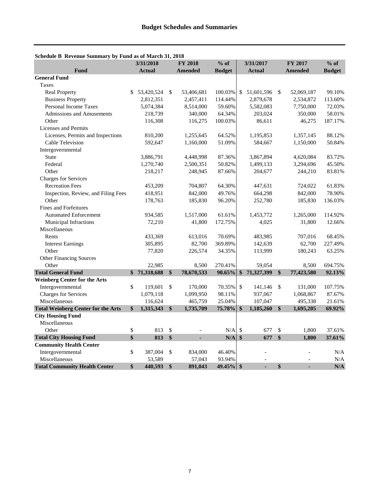|                                           |               | 3/31/2018     |                   | <b>FY 2018</b> | $%$ of        |    | 3/31/2017                |     | <b>FY 2017</b> | $%$ of        |
|-------------------------------------------|---------------|---------------|-------------------|----------------|---------------|----|--------------------------|-----|----------------|---------------|
| Fund                                      |               | <b>Actual</b> |                   | <b>Amended</b> | <b>Budget</b> |    | <b>Actual</b>            |     | <b>Amended</b> | <b>Budget</b> |
| <b>General Fund</b>                       |               |               |                   |                |               |    |                          |     |                |               |
| Taxes                                     |               |               |                   |                |               |    |                          |     |                |               |
| <b>Real Property</b>                      | \$            | 53,420,524    | \$                | 53,406,681     | 100.03%       | \$ | 51,601,596               | -\$ | 52,069,187     | 99.10%        |
| <b>Business Property</b>                  |               | 2,812,351     |                   | 2,457,411      | 114.44%       |    | 2,879,678                |     | 2,534,872      | 113.60%       |
| <b>Personal Income Taxes</b>              |               | 5,074,384     |                   | 8,514,000      | 59.60%        |    | 5,582,083                |     | 7,750,000      | 72.03%        |
| <b>Admissions and Amusements</b>          |               | 218,739       |                   | 340,000        | 64.34%        |    | 203,024                  |     | 350,000        | 58.01%        |
| Other                                     |               | 116,308       |                   | 116,275        | 100.03%       |    | 86,611                   |     | 46,275         | 187.17%       |
| <b>Licenses and Permits</b>               |               |               |                   |                |               |    |                          |     |                |               |
| Licenses, Permits and Inspections         |               | 810,200       |                   | 1,255,645      | 64.52%        |    | 1,195,853                |     | 1,357,145      | 88.12%        |
| Cable Television                          |               | 592,647       |                   | 1,160,000      | 51.09%        |    | 584,667                  |     | 1,150,000      | 50.84%        |
| Intergovernmental                         |               |               |                   |                |               |    |                          |     |                |               |
| <b>State</b>                              |               | 3,886,791     |                   | 4,448,998      | 87.36%        |    | 3,867,894                |     | 4,620,084      | 83.72%        |
| Federal                                   |               | 1,270,740     |                   | 2,500,351      | 50.82%        |    | 1,499,133                |     | 3,294,696      | 45.50%        |
| Other                                     |               | 218,217       |                   | 248,945        | 87.66%        |    | 204,677                  |     | 244,210        | 83.81%        |
| <b>Charges for Services</b>               |               |               |                   |                |               |    |                          |     |                |               |
| <b>Recreation Fees</b>                    |               | 453,209       |                   | 704,807        | 64.30%        |    | 447,631                  |     | 724,022        | 61.83%        |
| Inspection, Review, and Filing Fees       |               | 418,951       |                   | 842,000        | 49.76%        |    | 664,298                  |     | 842,000        | 78.90%        |
| Other                                     |               | 178,763       |                   | 185,830        | 96.20%        |    | 252,780                  |     | 185,830        | 136.03%       |
| <b>Fines and Forfeitures</b>              |               |               |                   |                |               |    |                          |     |                |               |
| <b>Automated Enforcement</b>              |               | 934,585       |                   | 1,517,000      | 61.61%        |    | 1,453,772                |     | 1,265,000      | 114.92%       |
| Municipal Infractions                     |               | 72,210        |                   | 41,800         | 172.75%       |    | 4,025                    |     | 31,800         | 12.66%        |
| Miscellaneous                             |               |               |                   |                |               |    |                          |     |                |               |
| Rents                                     |               | 433,369       |                   | 613,016        | 70.69%        |    | 483,985                  |     | 707,016        | 68.45%        |
| <b>Interest Earnings</b>                  |               | 305,895       |                   | 82,700         | 369.89%       |    | 142,639                  |     | 62,700         | 227.49%       |
| Other                                     |               | 77,820        |                   | 226,574        | 34.35%        |    | 113,999                  |     | 180,243        | 63.25%        |
| Other Financing Sources                   |               |               |                   |                |               |    |                          |     |                |               |
| Other                                     |               | 22,985        |                   | 8,500          | 270.41%       |    | 59,054                   |     | 8,500          | 694.75%       |
| <b>Total General Fund</b>                 | \$            | 71,318,688    | $\boldsymbol{\$}$ | 78,670,533     | 90.65%        | \$ | 71,327,399               | \$  | 77,423,580     | 92.13%        |
| <b>Weinberg Center for the Arts</b>       |               |               |                   |                |               |    |                          |     |                |               |
| Intergovernmental                         | $\mathsf{\$}$ | 119,601       | \$                | 170,000        | 70.35%        | \$ | 141,146                  | \$  | 131,000        | 107.75%       |
| <b>Charges for Services</b>               |               | 1,079,118     |                   | 1,099,950      | 98.11%        |    | 937,067                  |     | 1,068,867      | 87.67%        |
| Miscellaneous                             |               | 116,624       |                   | 465,759        | 25.04%        |    | 107,047                  |     | 495,338        | 21.61%        |
| <b>Total Weinberg Center for the Arts</b> | \$            | 1,315,343     | $\boldsymbol{\$}$ | 1,735,709      | 75.78%        | \$ | 1,185,260                | \$  | 1,695,205      | 69.92%        |
| <b>City Housing Fund</b>                  |               |               |                   |                |               |    |                          |     |                |               |
| Miscellaneous                             |               |               |                   |                |               |    |                          |     |                |               |
| Other                                     | \$            | 813           | \$                |                | N/A           | \$ | 677                      | \$  | 1,800          | 37.61%        |
| <b>Total City Housing Fund</b>            | \$            | 813           | $\frac{1}{2}$     | ä,             | N/A           | \$ | 677                      | \$  | 1,800          | 37.61%        |
| <b>Community Health Center</b>            |               |               |                   |                |               |    |                          |     |                |               |
| Intergovernmental                         | \$            | 387,004       | \$                | 834,000        | 46.40%        |    | $\overline{a}$           |     |                | N/A           |
| Miscellaneous                             |               | 53,589        |                   | 57,043         | 93.94%        |    | $\overline{\phantom{a}}$ |     |                | N/A           |
| <b>Total Community Health Center</b>      | \$            | 440,593       | \$                | 891,043        | $49.45\%$ \$  |    | L.                       | \$  |                | N/A           |

#### <span id="page-6-0"></span>**Schedule B Revenue Summary by Fund as of March 31, 2018**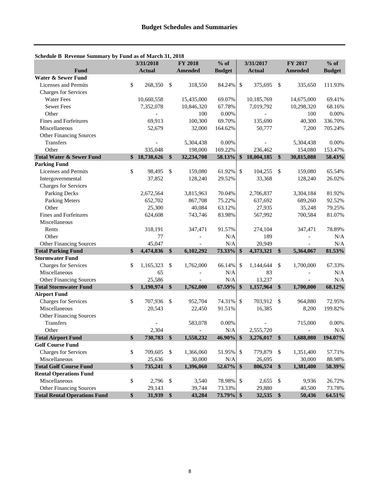| Schedule B Revenue Summary by Fund as of March 31, 2018 | 3/31/2018        |               | FY 2018        | $%$ of        |                           | 3/31/2017     |                   | FY 2017        | $%$ of        |
|---------------------------------------------------------|------------------|---------------|----------------|---------------|---------------------------|---------------|-------------------|----------------|---------------|
| <b>Fund</b>                                             | <b>Actual</b>    |               | <b>Amended</b> | <b>Budget</b> |                           | <b>Actual</b> |                   | <b>Amended</b> | <b>Budget</b> |
| <b>Water &amp; Sewer Fund</b>                           |                  |               |                |               |                           |               |                   |                |               |
| Licenses and Permits                                    | \$<br>268,350    | \$            | 318,550        | 84.24%        | $\boldsymbol{\mathsf{S}}$ | 375,695       | \$                | 335,650        | 111.93%       |
| <b>Charges for Services</b>                             |                  |               |                |               |                           |               |                   |                |               |
| <b>Water Fees</b>                                       | 10,660,558       |               | 15,435,000     | 69.07%        |                           | 10,185,769    |                   | 14,675,000     | 69.41%        |
| <b>Sewer Fees</b>                                       | 7,352,078        |               | 10,846,320     | 67.78%        |                           | 7,019,792     |                   | 10,298,320     | 68.16%        |
| Other                                                   |                  |               | 100            | 0.00%         |                           |               |                   | 100            | $0.00\%$      |
| <b>Fines and Forfeitures</b>                            | 69,913           |               | 100,300        | 69.70%        |                           | 135,690       |                   | 40,300         | 336.70%       |
| Miscellaneous                                           | 52,679           |               | 32,000         | 164.62%       |                           | 50,777        |                   | 7,200          | 705.24%       |
| <b>Other Financing Sources</b>                          |                  |               |                |               |                           |               |                   |                |               |
| Transfers                                               |                  |               | 5,304,438      | 0.00%         |                           |               |                   | 5,304,438      | 0.00%         |
| Other                                                   | 335,048          |               | 198,000        | 169.22%       |                           | 236,462       |                   | 154,080        | 153.47%       |
| <b>Total Water &amp; Sewer Fund</b>                     | \$<br>18,738,626 | \$            | 32,234,708     | 58.13%        | \$                        | 18,004,185    | \$                | 30,815,088     | 58.43%        |
| <b>Parking Fund</b>                                     |                  |               |                |               |                           |               |                   |                |               |
| Licenses and Permits                                    | \$<br>98,495     | \$            | 159,080        | 61.92%        | $\mathcal{S}$             | 104,255       | $\mathcal{L}$     | 159,080        | 65.54%        |
| Intergovernmental                                       | 37,852           |               | 128,240        | 29.52%        |                           | 33,368        |                   | 128,240        | 26.02%        |
| <b>Charges for Services</b>                             |                  |               |                |               |                           |               |                   |                |               |
| Parking Decks                                           | 2,672,564        |               | 3,815,963      | 70.04%        |                           | 2,706,837     |                   | 3,304,184      | 81.92%        |
| <b>Parking Meters</b>                                   | 652,702          |               | 867,708        | 75.22%        |                           | 637,692       |                   | 689,260        | 92.52%        |
| Other                                                   | 25,300           |               | 40,084         | 63.12%        |                           | 27,935        |                   | 35,248         | 79.25%        |
| Fines and Forfeitures                                   | 624,608          |               | 743,746        | 83.98%        |                           | 567,992       |                   | 700,584        | 81.07%        |
| Miscellaneous                                           |                  |               |                |               |                           |               |                   |                |               |
| Rents                                                   | 318,191          |               | 347,471        | 91.57%        |                           | 274,104       |                   | 347,471        | 78.89%        |
| Other                                                   | 77               |               |                | N/A           |                           | 189           |                   |                | N/A           |
| Other Financing Sources                                 | 45,047           |               |                | N/A           |                           | 20,949        |                   |                | N/A           |
| <b>Total Parking Fund</b>                               | \$<br>4,474,836  | \$            | 6,102,292      | 73.33%        | \$                        | 4,373,321     | \$                | 5,364,067      | 81.53%        |
| <b>Stormwater Fund</b>                                  |                  |               |                |               |                           |               |                   |                |               |
| <b>Charges for Services</b>                             | \$<br>1,165,323  | \$            | 1,762,000      | 66.14%        | \$                        | 1,144,644     | \$                | 1,700,000      | 67.33%        |
| Miscellaneous                                           | 65               |               |                | N/A           |                           | 83            |                   |                | N/A           |
| Other Financing Sources                                 | 25,586           |               |                | N/A           |                           | 13,237        |                   |                | N/A           |
| <b>Total Stormwater Fund</b>                            | \$<br>1,190,974  | \$            | 1,762,000      | 67.59%        | \$                        | 1,157,964     | \$                | 1,700,000      | 68.12%        |
| <b>Airport Fund</b>                                     |                  |               |                |               |                           |               |                   |                |               |
| <b>Charges for Services</b>                             | \$<br>707,936    | -\$           | 952,704        | 74.31%        | $\mathcal{S}$             | 703,912       | \$                | 964,880        | 72.95%        |
| Miscellaneous                                           | 20,543           |               | 22,450         | 91.51%        |                           | 16,385        |                   | 8,200          | 199.82%       |
| <b>Other Financing Sources</b>                          |                  |               |                |               |                           |               |                   |                |               |
| Transfers                                               |                  |               | 583,078        | $0.00\%$      |                           |               |                   | 715,000        | 0.00%         |
| Other                                                   | 2,304            |               |                | N/A           |                           | 2,555,720     |                   |                | N/A           |
| <b>Total Airport Fund</b>                               | \$<br>730,783    | $\frac{1}{2}$ | 1,558,232      | 46.90%        | \$                        | 3,276,017     | $\boldsymbol{\$}$ | 1,688,080      | 194.07%       |
| <b>Golf Course Fund</b>                                 |                  |               |                |               |                           |               |                   |                |               |
| <b>Charges for Services</b>                             | \$<br>709,605    | $\mathcal{S}$ | 1,366,060      | 51.95%        | \$                        | 779,879       | $\mathcal{S}$     | 1,351,400      | 57.71%        |
| Miscellaneous                                           | 25,636           |               | 30,000         | $\rm N/A$     |                           | 26,695        |                   | 30,000         | 88.98%        |
| <b>Total Golf Course Fund</b>                           | \$<br>735,241    | \$            | 1,396,060      | 52.67%        | $\boldsymbol{\$}$         | 806,574       | $\boldsymbol{\$}$ | 1,381,400      | 58.39%        |
| <b>Rental Operations Fund</b>                           |                  |               |                |               |                           |               |                   |                |               |
| Miscellaneous                                           | \$<br>2,796      | $\sqrt{3}$    | 3,540          | 78.98%        | \$                        | 2,655         | \$                | 9,936          | 26.72%        |
| <b>Other Financing Sources</b>                          | 29,143           |               | 39,744         | 73.33%        |                           | 29,880        |                   | 40,500         | 73.78%        |
| <b>Total Rental Operations Fund</b>                     | \$<br>31,939     | \$            | 43,284         | 73.79% \$     |                           | 32,535        | $\frac{1}{2}$     | 50,436         | 64.51%        |

## **Schedule B Revenue Summary by Fund as of March 31, 2018**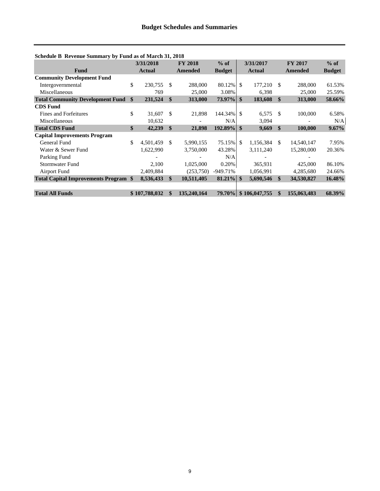| Schedule B Revenue Summary by Fund as of March 31, 2018 |                 |               |                |               |               |                      |               |                |               |
|---------------------------------------------------------|-----------------|---------------|----------------|---------------|---------------|----------------------|---------------|----------------|---------------|
|                                                         | 3/31/2018       |               | <b>FY 2018</b> | $%$ of        |               | 3/31/2017            |               | <b>FY 2017</b> | $%$ of        |
| <b>Fund</b>                                             | <b>Actual</b>   |               | <b>Amended</b> | <b>Budget</b> | <b>Actual</b> |                      |               | <b>Amended</b> | <b>Budget</b> |
| <b>Community Development Fund</b>                       |                 |               |                |               |               |                      |               |                |               |
| Intergovernmental                                       | \$<br>230,755   | -S            | 288,000        | 80.12%        | l \$          | 177.210              | - \$          | 288,000        | 61.53%        |
| Miscellaneous                                           | 769             |               | 25,000         | 3.08%         |               | 6,398                |               | 25,000         | 25.59%        |
| <b>Total Community Development Fund</b>                 | \$<br>231,524   | $\mathbf{\$}$ | 313,000        |               |               | 183,608              | \$            | 313,000        | 58.66%        |
| <b>CDS</b> Fund                                         |                 |               |                |               |               |                      |               |                |               |
| <b>Fines and Forfeitures</b>                            | \$<br>31,607    | <sup>\$</sup> | 21,898         | 144.34% \$    |               | 6,575                | -S            | 100,000        | 6.58%         |
| Miscellaneous                                           | 10,632          |               |                | N/A           |               | 3,094                |               |                | N/A           |
| <b>Total CDS Fund</b>                                   | \$<br>42,239    | <sup>\$</sup> | 21,898         | $192.89\%$ \$ |               | 9,669                | <sup>\$</sup> | 100,000        | $9.67\%$      |
| <b>Capital Improvements Program</b>                     |                 |               |                |               |               |                      |               |                |               |
| General Fund                                            | \$<br>4,501,459 | \$.           | 5,990,155      | 75.15%        | - \$          | 1,156,384            | <sup>S</sup>  | 14,540,147     | 7.95%         |
| Water & Sewer Fund                                      | 1,622,990       |               | 3,750,000      | 43.28%        |               | 3,111,240            |               | 15,280,000     | 20.36%        |
| Parking Fund                                            |                 |               |                | N/A           |               |                      |               |                |               |
| <b>Stormwater Fund</b>                                  | 2,100           |               | 1,025,000      | 0.20%         |               | 365,931              |               | 425,000        | 86.10%        |
| Airport Fund                                            | 2,409,884       |               | (253,750)      | $-949.71%$    |               | 1,056,991            |               | 4,285,680      | 24.66%        |
| <b>Total Capital Improvements Program \$</b>            | 8,536,433       | <sup>\$</sup> | 10,511,405     | $81.21\%$ \$  |               | 5,690,546            | <sup>\$</sup> | 34,530,827     | 16.48%        |
| <b>Total All Funds</b>                                  | \$107,788,032   | \$            | 135,240,164    |               |               | 79.70% \$106,047,755 | \$            | 155,063,483    | 68.39%        |

#### **Schedule B Revenue Summary by Fund as of March 31, 2018**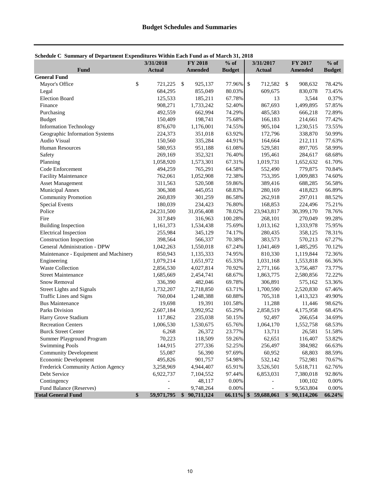<span id="page-9-0"></span>

| Schedule C Summary of Department Expenditures Within Each Fund as of March 31, 2018 |  |  |
|-------------------------------------------------------------------------------------|--|--|
|                                                                                     |  |  |

|                                                      | 3/31/2018        | <b>FY 2018</b>            | $%$ of           | 3/31/2017                   | FY 2017                                  | $%$ of          |
|------------------------------------------------------|------------------|---------------------------|------------------|-----------------------------|------------------------------------------|-----------------|
| Fund                                                 | <b>Actual</b>    | <b>Amended</b>            | <b>Budget</b>    | <b>Actual</b>               | <b>Amended</b>                           | <b>Budget</b>   |
| <b>General Fund</b>                                  |                  |                           |                  |                             |                                          |                 |
| Mayor's Office                                       | \$<br>721,225    | $\mathcal{S}$<br>925,137  | 77.96%           | $\mathcal{S}$<br>712,582    | -\$<br>908,632                           | 78.42%          |
| Legal                                                | 684,295          | 855,049                   | 80.03%           | 609,675                     | 830,078                                  | 73.45%          |
| <b>Election Board</b>                                | 125,533          | 185,211                   | 67.78%           | 13                          | 3,544                                    | 0.37%           |
| Finance                                              | 908,271          | 1,733,242                 | 52.40%           | 867,693                     | 1,499,895                                | 57.85%          |
| Purchasing                                           | 492,559          | 662,994                   | 74.29%           | 485,583                     | 666,218                                  | 72.89%          |
| <b>Budget</b>                                        | 150,409          | 198,741                   | 75.68%           | 166,183                     | 214,661                                  | 77.42%          |
| <b>Information Technology</b>                        | 876,670          | 1,176,001                 | 74.55%           | 905,104                     | 1,230,515                                | 73.55%          |
| Geographic Information Systems                       | 224,373          | 351,018                   | 63.92%           | 172,796                     | 338,870                                  | 50.99%          |
| Audio Visual                                         | 150,560          | 335,284                   | 44.91%           | 164,664                     | 212,111                                  | 77.63%          |
| <b>Human Resources</b>                               | 580,953          | 951,188                   | 61.08%           | 529,581                     | 897,705                                  | 58.99%          |
| Safety                                               | 269,169          | 352,321                   | 76.40%           | 195,461                     | 284,617                                  | 68.68%          |
| Planning                                             | 1,058,920        | 1,573,301                 | 67.31%           | 1,019,731                   | 1,652,632                                | 61.70%          |
| Code Enforcement                                     | 494,259          | 765,291                   | 64.58%           | 552,490                     | 779,875                                  | 70.84%          |
| <b>Facility Maintenance</b>                          | 762,061          | 1,052,908                 | 72.38%           | 753,395                     | 1,009,883                                | 74.60%          |
| <b>Asset Management</b>                              | 311,563          | 520,508                   | 59.86%           | 389,416                     | 688,285                                  | 56.58%          |
| Municipal Annex                                      | 306,308          | 445,051                   | 68.83%           | 280,169                     | 418,823                                  | 66.89%          |
| <b>Community Promotion</b>                           | 260,839          | 301,259                   | 86.58%           | 262,918                     | 297,011                                  | 88.52%          |
| <b>Special Events</b>                                | 180,039          | 234,423                   | 76.80%           | 168,853                     | 224,496                                  | 75.21%          |
| Police                                               | 24,231,500       | 31,056,408                | 78.02%           | 23,943,817                  | 30,399,170                               | 78.76%          |
| Fire                                                 | 317,849          | 316,963                   | 100.28%          | 268,101                     | 270,049                                  | 99.28%          |
| <b>Building Inspection</b>                           | 1,161,373        | 1,534,438                 | 75.69%           | 1,013,162                   | 1,333,978                                | 75.95%          |
| <b>Electrical Inspection</b>                         | 255,984          | 345,129                   | 74.17%           | 280,435                     | 358,125                                  | 78.31%          |
| Construction Inspection                              | 398,564          | 566,337                   | 70.38%           | 383,573                     | 570,213                                  | 67.27%          |
| General Administration - DPW                         | 1,042,263        | 1,550,018                 | 67.24%           | 1,041,469                   | 1,485,295                                | 70.12%          |
| Maintenance - Equipment and Machinery                | 850,943          | 1,135,333                 | 74.95%           | 810,330                     | 1,119,844                                | 72.36%          |
| Engineering                                          | 1,079,214        | 1,651,972                 | 65.33%           | 1,031,168                   | 1,553,818                                | 66.36%          |
| <b>Waste Collection</b>                              | 2,856,530        | 4,027,814                 | 70.92%           | 2,771,166                   | 3,756,487                                | 73.77%          |
| <b>Street Maintenance</b>                            | 1,685,669        | 2,454,741                 | 68.67%           | 1,863,775                   | 2,580,856                                | 72.22%          |
| Snow Removal                                         | 336,390          | 482,046                   | 69.78%           | 306,891                     | 575,162                                  | 53.36%          |
| <b>Street Lights and Signals</b>                     | 1,732,207        | 2,718,850                 | 63.71%           | 1,700,590                   | 2,520,830                                | 67.46%          |
| Traffic Lines and Signs                              | 760,004          | 1,248,388                 | 60.88%           | 705,318                     | 1,413,323                                | 49.90%          |
| <b>Bus Maintenance</b>                               | 19,698           | 19,391                    | 101.58%          | 11,288                      | 11,446                                   | 98.62%          |
| Parks Division                                       | 2,607,184        | 3,992,952                 | 65.29%           | 2,858,519                   | 4,175,958                                | 68.45%          |
| Harry Grove Stadium                                  | 117,862          | 235,038                   | 50.15%           | 92,497                      | 266,654                                  | 34.69%          |
| <b>Recreation Centers</b>                            | 1,006,530        | 1,530,675                 | 65.76%           | 1,064,170                   | 1,552,758                                | 68.53%          |
| <b>Burck Street Center</b>                           |                  | 26,372                    | 23.77%           | 13,711                      | 26,581                                   | 51.58%          |
|                                                      | 6,268            |                           |                  |                             |                                          |                 |
| Summer Playground Program                            | 70,223           | 118,509                   | 59.26%           | 62,651                      | 116,407<br>384,982                       | 53.82%          |
| <b>Swimming Pools</b>                                | 144,915          | 277,336                   | 52.25%<br>97.69% | 256,497                     |                                          | 66.63%          |
| <b>Community Development</b>                         | 55,087           | 56,390                    |                  | 60,952                      | 68,803                                   | 88.59%          |
| Economic Development                                 | 495,826          | 901,757                   | 54.98%           | 532,142                     | 752,981                                  | 70.67%          |
| Frederick Community Action Agency                    | 3,258,969        | 4,944,407                 | 65.91%           | 3,526,501                   | 5,618,711                                | 62.76%          |
| Debt Service                                         | 6,922,737        | 7,104,552                 | 97.44%           | 6,853,031                   | 7,380,018                                | 92.86%          |
| Contingency                                          |                  | 48,117                    | 0.00%            |                             | 100,102                                  | 0.00%           |
| Fund Balance (Reserves)<br><b>Total General Fund</b> | \$<br>59,971,795 | 9,748,264<br>\$90,711,124 | 0.00%<br>66.11%  | 59,688,061<br>$\mathbf{\$}$ | 9,563,804<br>$\mathbf{\$}$<br>90,114,206 | 0.00%<br>66.24% |
|                                                      |                  |                           |                  |                             |                                          |                 |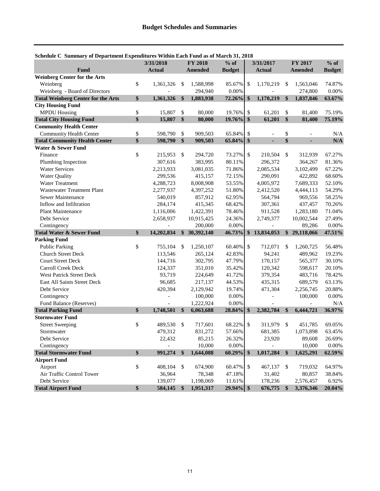| bencuure o bunnnary or bepartment expenditures within each r und as or march 91, 2010 | 3/31/2018        |                           | <b>FY 2018</b> | $%$ of        |                           | 3/31/2017     |                         | FY 2017        | $%$ of        |
|---------------------------------------------------------------------------------------|------------------|---------------------------|----------------|---------------|---------------------------|---------------|-------------------------|----------------|---------------|
| Fund                                                                                  | <b>Actual</b>    |                           | <b>Amended</b> | <b>Budget</b> |                           | <b>Actual</b> |                         | <b>Amended</b> | <b>Budget</b> |
| <b>Weinberg Center for the Arts</b>                                                   |                  |                           |                |               |                           |               |                         |                |               |
| Weinberg                                                                              | \$<br>1,361,326  | \$                        | 1,588,998      | 85.67%        | -\$                       | 1,170,219     | $\mathbb{S}$            | 1,563,046      | 74.87%        |
| Weinberg - Board of Directors                                                         |                  |                           | 294,940        | 0.00%         |                           |               |                         | 274,800        | 0.00%         |
| <b>Total Weinberg Center for the Arts</b>                                             | \$<br>1,361,326  | \$                        | 1,883,938      | 72.26%        | \$                        | 1,170,219     | \$                      | 1,837,846      | 63.67%        |
| <b>City Housing Fund</b>                                                              |                  |                           |                |               |                           |               |                         |                |               |
| <b>MPDU Housing</b>                                                                   | \$<br>15,807     | $\mathcal{S}$             | 80,000         | 19.76%        | \$                        | 61,201        | \$                      | 81,400         | 75.19%        |
| <b>Total City Housing Fund</b>                                                        | \$<br>15,807     | $\boldsymbol{\hat{s}}$    | 80,000         | $19.76\%$ \$  |                           | 61,201        | $\mathbf{\$}$           | 81,400         | 75.19%        |
| <b>Community Health Center</b>                                                        |                  |                           |                |               |                           |               |                         |                |               |
| Community Health Center                                                               | \$<br>598,790    | \$                        | 909,503        | 65.84%        | \$                        |               | \$                      |                | N/A           |
| <b>Total Community Health Center</b>                                                  | \$<br>598,790    | \$                        | 909,503        | 65.84% \$     |                           | ä,            | \$                      |                | N/A           |
| <b>Water &amp; Sewer Fund</b>                                                         |                  |                           |                |               |                           |               |                         |                |               |
| Finance                                                                               | \$<br>215,953    | \$                        | 294,720        | 73.27%        | \$                        | 210,504       | \$                      | 312,939        | 67.27%        |
| Plumbing Inspection                                                                   | 307,616          |                           | 383,995        | 80.11%        |                           | 296,372       |                         | 364,267        | 81.36%        |
| <b>Water Services</b>                                                                 | 2,213,933        |                           | 3,081,035      | 71.86%        |                           | 2,085,534     |                         | 3,102,499      | 67.22%        |
| Water Quality                                                                         | 299,536          |                           | 415,157        | 72.15%        |                           | 290,091       |                         | 422,892        | 68.60%        |
| <b>Water Treatment</b>                                                                | 4,288,723        |                           | 8,008,908      | 53.55%        |                           | 4,005,972     |                         | 7,689,333      | 52.10%        |
| <b>Wastewater Treatment Plant</b>                                                     | 2,277,937        |                           | 4,397,252      | 51.80%        |                           | 2,412,520     |                         | 4,444,113      | 54.29%        |
| Sewer Maintenance                                                                     | 540,019          |                           | 857,912        | 62.95%        |                           | 564,794       |                         | 969,556        | 58.25%        |
| Inflow and Infiltration                                                               | 284,174          |                           | 415,345        | 68.42%        |                           | 307,361       |                         | 437,457        | 70.26%        |
| <b>Plant Maintenance</b>                                                              | 1,116,006        |                           | 1,422,391      | 78.46%        |                           | 911,528       |                         | 1,283,180      | 71.04%        |
| Debt Service                                                                          | 2,658,937        |                           | 10,915,425     | 24.36%        |                           | 2,749,377     |                         | 10,002,544     | 27.49%        |
| Contingency                                                                           |                  |                           | 200,000        | 0.00%         |                           |               |                         | 89,286         | 0.00%         |
| <b>Total Water &amp; Sewer Fund</b>                                                   | \$<br>14,202,834 |                           | \$30,392,140   | 46.73%        | \$                        | 13,834,053    |                         | \$29,118,066   | 47.51%        |
| <b>Parking Fund</b>                                                                   |                  |                           |                |               |                           |               |                         |                |               |
| <b>Public Parking</b>                                                                 | \$<br>755,104    | \$                        | 1,250,107      | 60.40% \$     |                           | 712,071       | $\mathbb{S}$            | 1,260,725      | 56.48%        |
| Church Street Deck                                                                    | 113,546          |                           | 265,124        | 42.83%        |                           | 94,241        |                         | 489,962        | 19.23%        |
| <b>Court Street Deck</b>                                                              | 144,716          |                           | 302,795        | 47.79%        |                           | 170,157       |                         | 565,377        | 30.10%        |
| Carroll Creek Deck                                                                    | 124,337          |                           | 351,010        | 35.42%        |                           | 120,342       |                         | 598,617        | 20.10%        |
| <b>West Patrick Street Deck</b>                                                       | 93,719           |                           | 224,649        | 41.72%        |                           | 379,354       |                         | 483,716        | 78.42%        |
| East All Saints Street Deck                                                           | 96,685           |                           | 217,137        | 44.53%        |                           | 435,315       |                         | 689,579        | 63.13%        |
| Debt Service                                                                          | 420,394          |                           | 2,129,942      | 19.74%        |                           | 471,304       |                         | 2,256,745      | 20.88%        |
| Contingency                                                                           |                  |                           | 100,000        | 0.00%         |                           |               |                         | 100,000        | 0.00%         |
| Fund Balance (Reserves)                                                               |                  |                           | 1,222,924      | 0.00%         |                           |               |                         |                | N/A           |
| <b>Total Parking Fund</b>                                                             | \$<br>1,748,501  | $\mathbf{\$}$             | 6,063,688      | 28.84%        | \$                        | 2,382,784     | $\frac{1}{2}$           | 6,444,721      | 36.97%        |
| <b>Stormwater Fund</b>                                                                |                  |                           |                |               |                           |               |                         |                |               |
| <b>Street Sweeping</b>                                                                | \$<br>489,530    | \$                        | 717,601        | 68.22%        | $\boldsymbol{\mathsf{S}}$ | 311,979       | $\mathbb{S}$            | 451,785        | 69.05%        |
| Stormwater                                                                            | 479,312          |                           | 831,272        | 57.66%        |                           | 681,385       |                         | 1,073,898      | 63.45%        |
| Debt Service                                                                          | 22,432           |                           | 85,215         | 26.32%        |                           | 23,920        |                         | 89,608         | 26.69%        |
| Contingency                                                                           |                  |                           | 10,000         | 0.00%         |                           |               |                         | 10,000         | $0.00\%$      |
| <b>Total Stormwater Fund</b>                                                          | \$<br>991,274    | $\mathbf{\$}$             | 1,644,088      | 60.29%        | \$                        | 1,017,284     | $\sqrt[6]{\frac{1}{2}}$ | 1,625,291      | 62.59%        |
| <b>Airport Fund</b>                                                                   |                  |                           |                |               |                           |               |                         |                |               |
| Airport                                                                               | \$<br>408,104    | \$                        | 674,900        | 60.47%        | \$                        | 467,137       | - \$                    | 719,032        | 64.97%        |
| Air Traffic Control Tower                                                             | 36,964           |                           | 78,348         | 47.18%        |                           | 31,402        |                         | 80,857         | 38.84%        |
| Debt Service                                                                          | 139,077          |                           | 1,198,069      | 11.61%        |                           | 178,236       |                         | 2,576,457      | 6.92%         |
| <b>Total Airport Fund</b>                                                             | \$<br>584,145    | $\boldsymbol{\mathsf{s}}$ | 1,951,317      | $29.94\%$ \$  |                           | 676,775       | - \$                    | 3,376,346      | 20.04%        |

#### **Schedule C Summary of Department Expenditures Within Each Fund as of March 31, 2018**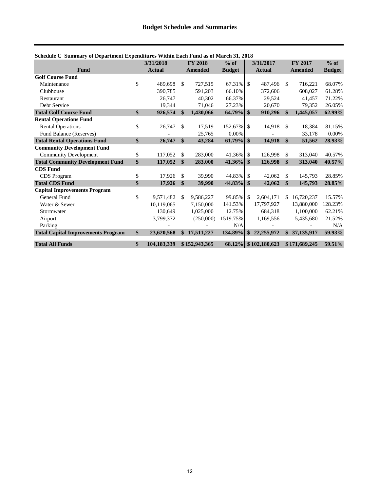| саат е запиша у от веригинене влренатат оз ттенит васи т ана аз от глаген ет | 3/31/2018         |               | <b>FY 2018</b> | $%$ of                |               | 3/31/2017            |               | <b>FY 2017</b> | $%$ of        |
|------------------------------------------------------------------------------|-------------------|---------------|----------------|-----------------------|---------------|----------------------|---------------|----------------|---------------|
| Fund                                                                         | <b>Actual</b>     |               | <b>Amended</b> | <b>Budget</b>         |               | <b>Actual</b>        |               | <b>Amended</b> | <b>Budget</b> |
| <b>Golf Course Fund</b>                                                      |                   |               |                |                       |               |                      |               |                |               |
| Maintenance                                                                  | \$<br>489,698     | $\mathcal{S}$ | 727,515        | $67.31\%$ \\$         |               | 487,496              | -S            | 716,221        | 68.07%        |
| Clubhouse                                                                    | 390.785           |               | 591,203        | 66.10%                |               | 372,606              |               | 608,027        | 61.28%        |
| Restaurant                                                                   | 26,747            |               | 40,302         | 66.37%                |               | 29,524               |               | 41,457         | 71.22%        |
| Debt Service                                                                 | 19.344            |               | 71,046         | 27.23%                |               | 20,670               |               | 79,352         | 26.05%        |
| <b>Total Golf Course Fund</b>                                                | \$<br>926,574     | $\mathbf{\$}$ | 1,430,066      | $64.79\%$ \$          |               | 910,296              | $\mathbf{\$}$ | 1,445,057      | 62.99%        |
| <b>Rental Operations Fund</b>                                                |                   |               |                |                       |               |                      |               |                |               |
| <b>Rental Operations</b>                                                     | \$<br>26,747      | <sup>\$</sup> | 17,519         | 152.67% \$            |               | 14,918               | -\$           | 18,384         | 81.15%        |
| Fund Balance (Reserves)                                                      |                   |               | 25,765         | 0.00%                 |               |                      |               | 33,178         | 0.00%         |
| <b>Total Rental Operations Fund</b>                                          | \$<br>26,747      | $\mathbf{\$}$ | 43,284         | $61.79\%$ \$          |               | 14,918               | $\mathbf{\$}$ | 51,562         | 28.93%        |
| <b>Community Development Fund</b>                                            |                   |               |                |                       |               |                      |               |                |               |
| <b>Community Development</b>                                                 | \$<br>117,052     | \$            | 283,000        | 41.36% \$             |               | 126,998              | \$            | 313,040        | 40.57%        |
| <b>Total Community Development Fund</b>                                      | \$<br>117,052     | $\mathbf{\$}$ | 283,000        | $41.36\%$ \$          |               | 126,998              | <sup>\$</sup> | 313,040        | 40.57%        |
| <b>CDS</b> Fund                                                              |                   |               |                |                       |               |                      |               |                |               |
| <b>CDS</b> Program                                                           | \$<br>17.926      | $\mathbb{S}$  | 39,990         | 44.83% \$             |               | 42,062               | \$            | 145,793        | 28.85%        |
| <b>Total CDS Fund</b>                                                        | \$<br>17,926      | $\mathbf{\$}$ | 39,990         | 44.83%                | $\mathbf{\$}$ | 42,062               | \$            | 145,793        | 28.85%        |
| <b>Capital Improvements Program</b>                                          |                   |               |                |                       |               |                      |               |                |               |
| General Fund                                                                 | \$<br>9,571,482   | -S            | 9,586,227      | 99.85% \$             |               | 2,604,171            | \$.           | 16,720,237     | 15.57%        |
| Water & Sewer                                                                | 10,119,065        |               | 7,150,000      | 141.53%               |               | 17,797,927           |               | 13,880,000     | 128.23%       |
| Stormwater                                                                   | 130,649           |               | 1,025,000      | 12.75%                |               | 684,318              |               | 1,100,000      | 62.21%        |
| Airport                                                                      | 3,799,372         |               |                | $(250,000)$ -1519.75% |               | 1,169,556            |               | 5,435,680      | 21.52%        |
| Parking                                                                      |                   |               |                | N/A                   |               |                      |               |                | N/A           |
| <b>Total Capital Improvements Program</b>                                    | \$<br>23,620,568  | \$            | 17,511,227     | 134.89%               | \$            | 22, 255, 972         |               | \$37,135,917   | 59.93%        |
| <b>Total All Funds</b>                                                       | \$<br>104,183,339 |               | \$152,943,365  |                       |               | 68.12% \$102,180,623 |               | \$171,689,245  | 59.51%        |

#### **Schedule C Summary of Department Expenditures Within Each Fund as of March 31, 2018**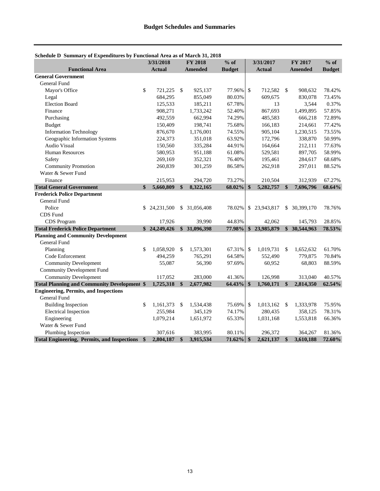|                                                    |              | 3/31/2018     |               | <b>FY 2018</b> | $%$ of        |               | 3/31/2017     | <b>FY 2017</b>   | $%$ of        |
|----------------------------------------------------|--------------|---------------|---------------|----------------|---------------|---------------|---------------|------------------|---------------|
| <b>Functional Area</b>                             |              | <b>Actual</b> |               | <b>Amended</b> | <b>Budget</b> |               | <b>Actual</b> | <b>Amended</b>   | <b>Budget</b> |
| <b>General Government</b>                          |              |               |               |                |               |               |               |                  |               |
| General Fund                                       |              |               |               |                |               |               |               |                  |               |
| Mayor's Office                                     | \$           | 721,225       | $\mathcal{S}$ | 925,137        | 77.96%        | \$            | 712,582       | \$<br>908,632    | 78.42%        |
| Legal                                              |              | 684,295       |               | 855,049        | 80.03%        |               | 609,675       | 830,078          | 73.45%        |
| <b>Election Board</b>                              |              | 125,533       |               | 185,211        | 67.78%        |               | 13            | 3,544            | 0.37%         |
| Finance                                            |              | 908,271       |               | 1,733,242      | 52.40%        |               | 867,693       | 1,499,895        | 57.85%        |
| Purchasing                                         |              | 492,559       |               | 662,994        | 74.29%        |               | 485,583       | 666,218          | 72.89%        |
| <b>Budget</b>                                      |              | 150,409       |               | 198,741        | 75.68%        |               | 166,183       | 214,661          | 77.42%        |
| <b>Information Technology</b>                      |              | 876,670       |               | 1,176,001      | 74.55%        |               | 905,104       | 1,230,515        | 73.55%        |
| Geographic Information Systems                     |              | 224,373       |               | 351,018        | 63.92%        |               | 172,796       | 338,870          | 50.99%        |
| <b>Audio Visual</b>                                |              | 150,560       |               | 335,284        | 44.91%        |               | 164,664       | 212,111          | 77.63%        |
| <b>Human Resources</b>                             |              | 580,953       |               | 951,188        | 61.08%        |               | 529,581       | 897,705          | 58.99%        |
| Safety                                             |              | 269,169       |               | 352,321        | 76.40%        |               | 195,461       | 284,617          | 68.68%        |
| <b>Community Promotion</b>                         |              | 260,839       |               | 301,259        | 86.58%        |               | 262,918       | 297,011          | 88.52%        |
| Water & Sewer Fund                                 |              |               |               |                |               |               |               |                  |               |
| Finance                                            |              | 215,953       |               | 294,720        | 73.27%        |               | 210,504       | 312,939          | 67.27%        |
| <b>Total General Government</b>                    | $\mathbf{s}$ | 5,660,809     | \$            | 8,322,165      | 68.02%        | \$            | 5,282,757     | \$<br>7,696,796  | 68.64%        |
| <b>Frederick Police Department</b>                 |              |               |               |                |               |               |               |                  |               |
| <b>General Fund</b>                                |              |               |               |                |               |               |               |                  |               |
| Police                                             | \$.          | 24,231,500    |               | \$ 31,056,408  | 78.02%        |               | \$23,943,817  | \$<br>30,399,170 | 78.76%        |
| CDS Fund                                           |              |               |               |                |               |               |               |                  |               |
| CDS Program                                        |              | 17,926        |               | 39,990         | 44.83%        |               | 42,062        | 145,793          | 28.85%        |
| <b>Total Frederick Police Department</b>           |              | \$24,249,426  | $\mathbf{s}$  | 31,096,398     | 77.98%        | \$            | 23,985,879    | \$<br>30,544,963 | 78.53%        |
| <b>Planning and Community Development</b>          |              |               |               |                |               |               |               |                  |               |
| General Fund                                       |              |               |               |                |               |               |               |                  |               |
| Planning                                           | \$           | 1,058,920     | <sup>\$</sup> | 1,573,301      | 67.31%        | $\mathcal{S}$ | 1,019,731     | \$<br>1,652,632  | 61.70%        |
| Code Enforcement                                   |              | 494,259       |               | 765,291        | 64.58%        |               | 552,490       | 779,875          | 70.84%        |
| <b>Community Development</b>                       |              | 55,087        |               | 56,390         | 97.69%        |               | 60,952        | 68,803           | 88.59%        |
| <b>Community Development Fund</b>                  |              |               |               |                |               |               |               |                  |               |
| <b>Community Development</b>                       |              | 117,052       |               | 283,000        | 41.36%        |               | 126,998       | 313,040          | 40.57%        |
| <b>Total Planning and Community Development \$</b> |              | 1,725,318     | $\mathbf{s}$  | 2,677,982      | 64.43%        | $\mathbf s$   | 1,760,171     | \$<br>2,814,350  | 62.54%        |
| <b>Engineering, Permits, and Inspections</b>       |              |               |               |                |               |               |               |                  |               |
| <b>General Fund</b>                                |              |               |               |                |               |               |               |                  |               |
| <b>Building Inspection</b>                         | \$           | 1,161,373     | <sup>\$</sup> | 1,534,438      | 75.69%        | \$            | 1,013,162     | \$<br>1,333,978  | 75.95%        |
| <b>Electrical Inspection</b>                       |              | 255,984       |               | 345,129        | 74.17%        |               | 280,435       | 358,125          | 78.31%        |
| Engineering                                        |              | 1,079,214     |               | 1,651,972      | 65.33%        |               | 1,031,168     | 1,553,818        | 66.36%        |
| Water & Sewer Fund                                 |              |               |               |                |               |               |               |                  |               |
| Plumbing Inspection                                |              | 307,616       |               | 383,995        | 80.11%        |               | 296,372       | 364,267          | 81.36%        |
| <b>Total Engineering, Permits, and Inspections</b> | $\mathbf{s}$ | 2,804,187     | \$            | 3,915,534      | 71.62%        | $\mathbf{\$}$ | 2,621,137     | \$<br>3,610,188  | 72.60%        |

#### <span id="page-12-0"></span>**Schedule D Summary of Expenditures by Functional Area as of March 31, 2018**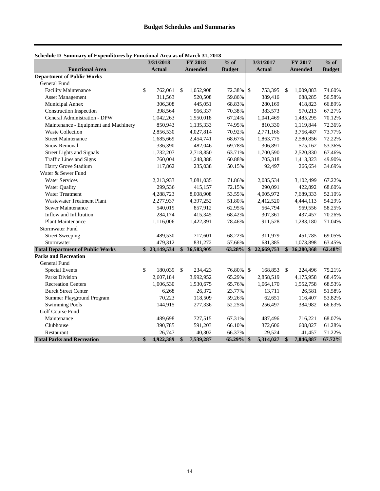|                                         | 3/31/2018       |                   | <b>FY 2018</b> | $%$ of        |                   | 3/31/2017     |               | <b>FY 2017</b> | $%$ of        |
|-----------------------------------------|-----------------|-------------------|----------------|---------------|-------------------|---------------|---------------|----------------|---------------|
| <b>Functional Area</b>                  | <b>Actual</b>   |                   | <b>Amended</b> | <b>Budget</b> |                   | <b>Actual</b> |               | <b>Amended</b> | <b>Budget</b> |
| <b>Department of Public Works</b>       |                 |                   |                |               |                   |               |               |                |               |
| <b>General Fund</b>                     |                 |                   |                |               |                   |               |               |                |               |
| <b>Facility Maintenance</b>             | \$<br>762,061   | <sup>\$</sup>     | 1,052,908      | 72.38%        | \$                | 753,395       | \$            | 1,009,883      | 74.60%        |
| <b>Asset Management</b>                 | 311,563         |                   | 520,508        | 59.86%        |                   | 389,416       |               | 688,285        | 56.58%        |
| Municipal Annex                         | 306,308         |                   | 445,051        | 68.83%        |                   | 280,169       |               | 418,823        | 66.89%        |
| <b>Construction Inspection</b>          | 398,564         |                   | 566,337        | 70.38%        |                   | 383,573       |               | 570,213        | 67.27%        |
| <b>General Administration - DPW</b>     | 1,042,263       |                   | 1,550,018      | 67.24%        |                   | 1,041,469     |               | 1,485,295      | 70.12%        |
| Maintenance - Equipment and Machinery   | 850,943         |                   | 1,135,333      | 74.95%        |                   | 810,330       |               | 1,119,844      | 72.36%        |
| <b>Waste Collection</b>                 | 2,856,530       |                   | 4,027,814      | 70.92%        |                   | 2,771,166     |               | 3,756,487      | 73.77%        |
| <b>Street Maintenance</b>               | 1,685,669       |                   | 2,454,741      | 68.67%        |                   | 1,863,775     |               | 2,580,856      | 72.22%        |
| <b>Snow Removal</b>                     | 336,390         |                   | 482,046        | 69.78%        |                   | 306,891       |               | 575,162        | 53.36%        |
| <b>Street Lights and Signals</b>        | 1,732,207       |                   | 2,718,850      | 63.71%        |                   | 1,700,590     |               | 2,520,830      | 67.46%        |
| Traffic Lines and Signs                 | 760,004         |                   | 1,248,388      | 60.88%        |                   | 705,318       |               | 1,413,323      | 49.90%        |
| Harry Grove Stadium                     | 117,862         |                   | 235,038        | 50.15%        |                   | 92,497        |               | 266,654        | 34.69%        |
| Water & Sewer Fund                      |                 |                   |                |               |                   |               |               |                |               |
| <b>Water Services</b>                   | 2,213,933       |                   | 3,081,035      | 71.86%        |                   | 2,085,534     |               | 3,102,499      | 67.22%        |
| <b>Water Quality</b>                    | 299,536         |                   | 415,157        | 72.15%        |                   | 290,091       |               | 422,892        | 68.60%        |
| Water Treatment                         | 4,288,723       |                   | 8,008,908      | 53.55%        |                   | 4,005,972     |               | 7,689,333      | 52.10%        |
| <b>Wastewater Treatment Plant</b>       | 2,277,937       |                   | 4,397,252      | 51.80%        |                   | 2,412,520     |               | 4,444,113      | 54.29%        |
| Sewer Maintenance                       | 540,019         |                   | 857,912        | 62.95%        |                   | 564,794       |               | 969,556        | 58.25%        |
| Inflow and Infiltration                 | 284,174         |                   | 415,345        | 68.42%        |                   | 307,361       |               | 437,457        | 70.26%        |
| <b>Plant Maintenance</b>                | 1,116,006       |                   | 1,422,391      | 78.46%        |                   | 911,528       |               | 1,283,180      | 71.04%        |
| Stormwater Fund                         |                 |                   |                |               |                   |               |               |                |               |
| <b>Street Sweeping</b>                  | 489,530         |                   | 717,601        | 68.22%        |                   | 311,979       |               | 451,785        | 69.05%        |
| Stormwater                              | 479,312         |                   | 831,272        | 57.66%        |                   | 681,385       |               | 1,073,898      | 63.45%        |
| <b>Total Department of Public Works</b> | \$23,149,534    |                   | \$36,583,905   | 63.28%        |                   | \$22,669,753  | $\mathbf{\$}$ | 36,280,368     | 62.48%        |
| <b>Parks and Recreation</b>             |                 |                   |                |               |                   |               |               |                |               |
| General Fund                            |                 |                   |                |               |                   |               |               |                |               |
| <b>Special Events</b>                   | \$<br>180,039   | $\mathcal{S}$     | 234,423        | 76.80%        | $\mathcal{S}$     | 168,853       | \$            | 224,496        | 75.21%        |
| <b>Parks Division</b>                   | 2,607,184       |                   | 3,992,952      | 65.29%        |                   | 2,858,519     |               | 4,175,958      | 68.45%        |
| <b>Recreation Centers</b>               | 1,006,530       |                   | 1,530,675      | 65.76%        |                   | 1,064,170     |               | 1,552,758      | 68.53%        |
| <b>Burck Street Center</b>              | 6,268           |                   | 26,372         | 23.77%        |                   | 13,711        |               | 26,581         | 51.58%        |
| Summer Playground Program               | 70,223          |                   | 118,509        | 59.26%        |                   | 62,651        |               | 116,407        | 53.82%        |
| <b>Swimming Pools</b>                   | 144,915         |                   | 277,336        | 52.25%        |                   | 256,497       |               | 384,982        | 66.63%        |
| Golf Course Fund                        |                 |                   |                |               |                   |               |               |                |               |
| Maintenance                             | 489,698         |                   | 727,515        | 67.31%        |                   | 487,496       |               | 716,221        | 68.07%        |
| Clubhouse                               | 390,785         |                   | 591,203        | 66.10%        |                   | 372,606       |               | 608,027        | 61.28%        |
| Restaurant                              | 26,747          |                   | 40,302         | 66.37%        |                   | 29,524        |               | 41,457         | 71.22%        |
| <b>Total Parks and Recreation</b>       | \$<br>4,922,389 | $\boldsymbol{\$}$ | 7,539,287      | 65.29%        | $\boldsymbol{\$}$ | 5,314,027     | $\mathbf{\$}$ | 7,846,887      | 67.72%        |

#### **Schedule D Summary of Expenditures by Functional Area as of March 31, 2018**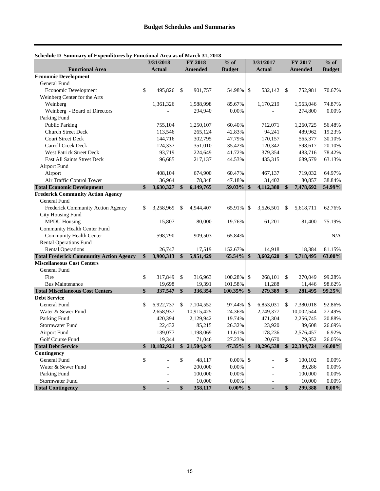|                                                |                   | 3/31/2018     |               | <b>FY 2018</b> | $%$ of        | 3/31/2017     |               |               | FY 2017        | $%$ of        |
|------------------------------------------------|-------------------|---------------|---------------|----------------|---------------|---------------|---------------|---------------|----------------|---------------|
| <b>Functional Area</b>                         |                   | <b>Actual</b> |               | Amended        | <b>Budget</b> |               | <b>Actual</b> |               | <b>Amended</b> | <b>Budget</b> |
| <b>Economic Development</b>                    |                   |               |               |                |               |               |               |               |                |               |
| General Fund                                   |                   |               |               |                |               |               |               |               |                |               |
| Economic Development                           | \$                | 495,826       | $\mathcal{S}$ | 901,757        | 54.98%        | \$            | 532,142       | \$            | 752,981        | 70.67%        |
| Weinberg Center for the Arts                   |                   |               |               |                |               |               |               |               |                |               |
| Weinberg                                       |                   | 1,361,326     |               | 1,588,998      | 85.67%        |               | 1,170,219     |               | 1,563,046      | 74.87%        |
| Weinberg - Board of Directors                  |                   |               |               | 294,940        | 0.00%         |               |               |               | 274,800        | 0.00%         |
| Parking Fund                                   |                   |               |               |                |               |               |               |               |                |               |
| <b>Public Parking</b>                          |                   | 755,104       |               | 1,250,107      | 60.40%        |               | 712,071       |               | 1,260,725      | 56.48%        |
| <b>Church Street Deck</b>                      |                   | 113,546       |               | 265,124        | 42.83%        |               | 94,241        |               | 489,962        | 19.23%        |
| <b>Court Street Deck</b>                       |                   | 144,716       |               | 302,795        | 47.79%        |               | 170,157       |               | 565,377        | 30.10%        |
| Carroll Creek Deck                             |                   | 124,337       |               | 351,010        | 35.42%        |               | 120,342       |               | 598,617        | 20.10%        |
| <b>West Patrick Street Deck</b>                |                   | 93,719        |               | 224,649        | 41.72%        |               | 379,354       |               | 483,716        | 78.42%        |
| East All Saints Street Deck                    |                   | 96,685        |               | 217,137        | 44.53%        |               | 435,315       |               | 689,579        | 63.13%        |
| <b>Airport Fund</b>                            |                   |               |               |                |               |               |               |               |                |               |
| Airport                                        |                   | 408,104       |               | 674,900        | 60.47%        |               | 467,137       |               | 719,032        | 64.97%        |
| Air Traffic Control Tower                      |                   | 36,964        |               | 78,348         | 47.18%        |               | 31,402        |               | 80,857         | 38.84%        |
| <b>Total Economic Development</b>              | \$                | 3,630,327     | \$            | 6,149,765      | 59.03%        | \$            | 4,112,380     | \$            | 7,478,692      | 54.99%        |
| <b>Frederick Community Action Agency</b>       |                   |               |               |                |               |               |               |               |                |               |
| <b>General Fund</b>                            |                   |               |               |                |               |               |               |               |                |               |
| Frederick Community Action Agency              | \$                | 3,258,969     | \$            | 4,944,407      | 65.91%        | \$            | 3,526,501     | \$            | 5,618,711      | 62.76%        |
| <b>City Housing Fund</b>                       |                   |               |               |                |               |               |               |               |                |               |
| <b>MPDU Housing</b>                            |                   | 15,807        |               | 80,000         | 19.76%        |               | 61,201        |               | 81,400         | 75.19%        |
| <b>Community Health Center Fund</b>            |                   |               |               |                |               |               |               |               |                |               |
| <b>Community Health Center</b>                 |                   | 598,790       |               | 909,503        | 65.84%        |               |               |               |                | N/A           |
| <b>Rental Operations Fund</b>                  |                   |               |               |                |               |               |               |               |                |               |
| <b>Rental Operations</b>                       |                   | 26,747        |               | 17,519         | 152.67%       |               | 14,918        |               | 18,384         | 81.15%        |
| <b>Total Frederick Community Action Agency</b> | $\boldsymbol{\$}$ | 3,900,313     | \$            | 5,951,429      | 65.54%        | $\mathbf{\$}$ | 3,602,620     | \$            | 5,718,495      | 63.00%        |
| <b>Miscellaneous Cost Centers</b>              |                   |               |               |                |               |               |               |               |                |               |
| General Fund                                   |                   |               |               |                |               |               |               |               |                |               |
| Fire                                           | \$                | 317,849       | $\mathcal{S}$ | 316,963        | 100.28%       | \$            | 268,101       | \$            | 270,049        | 99.28%        |
| <b>Bus Maintenance</b>                         |                   | 19,698        |               | 19,391         | 101.58%       |               | 11,288        |               | 11,446         | 98.62%        |
| <b>Total Miscellaneous Cost Centers</b>        | \$                | 337,547       | \$            | 336,354        | 100.35%       | \$            | 279,389       | \$            | 281,495        | 99.25%        |
| <b>Debt Service</b>                            |                   |               |               |                |               |               |               |               |                |               |
| General Fund                                   | \$                | 6,922,737     | \$            | 7,104,552      | 97.44%        | \$            | 6,853,031     | \$            | 7,380,018      | 92.86%        |
| Water & Sewer Fund                             |                   | 2,658,937     |               | 10,915,425     | 24.36%        |               | 2,749,377     |               | 10,002,544     | 27.49%        |
| Parking Fund                                   |                   | 420,394       |               | 2,129,942      | 19.74%        |               | 471,304       |               | 2,256,745      | 20.88%        |
| <b>Stormwater Fund</b>                         |                   | 22,432        |               | 85,215         | 26.32%        |               | 23,920        |               | 89,608         | 26.69%        |
| <b>Airport Fund</b>                            |                   | 139,077       |               | 1,198,069      | 11.61%        |               | 178,236       |               | 2,576,457      | 6.92%         |
| Golf Course Fund                               |                   | 19,344        |               | 71,046         | 27.23%        |               | 20,670        |               | 79,352         | 26.05%        |
| <b>Total Debt Service</b>                      |                   | \$10,182,921  |               | \$21,504,249   | 47.35%        |               | \$10,296,538  | $\frac{1}{2}$ | 22,384,724     | 46.00%        |
| Contingency                                    |                   |               |               |                |               |               |               |               |                |               |
| General Fund                                   | \$                |               | \$            | 48,117         | $0.00\%$      | $\mathcal{S}$ |               | \$            | 100,102        | 0.00%         |
| Water & Sewer Fund                             |                   |               |               | 200,000        | 0.00%         |               |               |               | 89,286         | $0.00\%$      |
| Parking Fund                                   |                   |               |               | 100,000        | 0.00%         |               |               |               | 100,000        | 0.00%         |
| Stormwater Fund                                |                   |               |               | 10,000         | 0.00%         |               |               |               | 10,000         | 0.00%         |
| <b>Total Contingency</b>                       | \$                | ÷,            | \$            | 358,117        | $0.00\%$ \$   |               |               | \$            | 299,388        | $0.00\%$      |

## **Schedule D Summary of Expenditures by Functional Area as of March 31, 2018**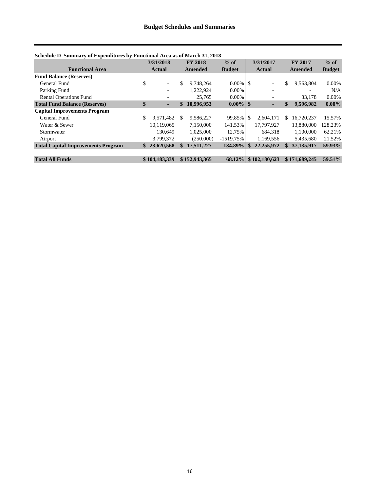| Schedule D Summary of Expenditures by Functional Area as of March 31, 2018 |  |  |
|----------------------------------------------------------------------------|--|--|
|----------------------------------------------------------------------------|--|--|

|                                           |                   | 3/31/2018     |              | <b>FY 2018</b> | $%$ of        | 3/31/2017                |    | <b>FY 2017</b> | $%$ of        |
|-------------------------------------------|-------------------|---------------|--------------|----------------|---------------|--------------------------|----|----------------|---------------|
| <b>Functional Area</b>                    |                   | <b>Actual</b> |              | Amended        | <b>Budget</b> | <b>Actual</b>            |    | Amended        | <b>Budget</b> |
| <b>Fund Balance (Reserves)</b>            |                   |               |              |                |               |                          |    |                |               |
| General Fund                              | \$                | $\equiv$      | \$           | 9.748.264      | $0.00\%$ \$   | ٠                        | \$ | 9,563,804      | $0.00\%$      |
| Parking Fund                              |                   | -             |              | 1.222.924      | 0.00%         | $\overline{\phantom{0}}$ |    |                | N/A           |
| <b>Rental Operations Fund</b>             |                   | ٠             |              | 25.765         | 0.00%         |                          |    | 33.178         | $0.00\%$      |
| <b>Total Fund Balance (Reserves)</b>      | $\boldsymbol{\$}$ | ٠             | $\mathbf{s}$ | 10,996,953     | $0.00\%$ \$   | н                        | \$ | 9.596.982      | $0.00\%$      |
| <b>Capital Improvements Program</b>       |                   |               |              |                |               |                          |    |                |               |
| General Fund                              | \$.               | 9,571,482     | S.           | 9.586.227      | 99.85%        | \$<br>2.604.171          | S  | 16.720.237     | 15.57%        |
| Water & Sewer                             |                   | 10,119,065    |              | 7,150,000      | 141.53%       | 17,797,927               |    | 13,880,000     | 128.23%       |
| Stormwater                                |                   | 130,649       |              | 1.025.000      | 12.75%        | 684.318                  |    | 1.100.000      | 62.21%        |
| Airport                                   |                   | 3,799,372     |              | (250,000)      | $-1519.75%$   | 1.169.556                |    | 5,435,680      | 21.52%        |
| <b>Total Capital Improvements Program</b> |                   | \$23,620,568  |              | 17,511,227     | 134.89%       | \$<br>22,255,972         | \$ | 37,135,917     | 59.93%        |
|                                           |                   |               |              |                |               |                          |    |                |               |
| <b>Total All Funds</b>                    |                   | \$104,183,339 |              | \$152,943,365  | 68.12%        | \$102,180,623            |    | \$171,689,245  | 59.51%        |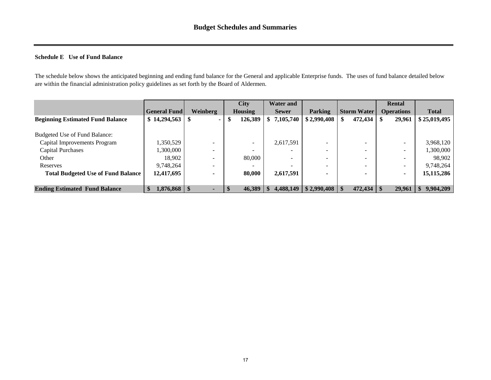## <span id="page-16-0"></span>**Schedule E Use of Fund Balance**

The schedule below shows the anticipated beginning and ending fund balance for the General and applicable Enterprise funds. The uses of fund balance detailed below are within the financial administration policy guidelines as set forth by the Board of Aldermen.

|                                           |                     |                          | <b>City</b>    | <b>Water and</b> |                                 |                    | <b>Rental</b>     |              |
|-------------------------------------------|---------------------|--------------------------|----------------|------------------|---------------------------------|--------------------|-------------------|--------------|
|                                           | <b>General Fund</b> | <b>Weinberg</b>          | <b>Housing</b> | <b>Sewer</b>     | Parking                         | <b>Storm Water</b> | <b>Operations</b> | <b>Total</b> |
| <b>Beginning Estimated Fund Balance</b>   |                     |                          | 126,389        | 7,105,740        | \$2,990,408                     | 472,434            | 29,961            | \$25,019,495 |
|                                           |                     |                          |                |                  |                                 |                    |                   |              |
| Budgeted Use of Fund Balance:             |                     |                          |                |                  |                                 |                    |                   |              |
| Capital Improvements Program              | 1,350,529           |                          |                | 2,617,591        |                                 |                    |                   | 3,968,120    |
| <b>Capital Purchases</b>                  | 1,300,000           |                          |                |                  | -                               |                    |                   | 1,300,000    |
| Other                                     | 18.902              | $\overline{\phantom{a}}$ | 80,000         |                  | -                               | -                  | -                 | 98.902       |
| Reserves                                  | 9,748,264           |                          |                |                  |                                 |                    | ۰                 | 9,748,264    |
| <b>Total Budgeted Use of Fund Balance</b> | 12,417,695          |                          | 80,000         | 2,617,591        |                                 |                    |                   | 15, 115, 286 |
|                                           |                     |                          |                |                  |                                 |                    |                   |              |
| <b>Ending Estimated Fund Balance</b>      | $1,876,868$   \$    |                          | 46,389         |                  | $4,488,149$ \ \$ 2,990,408 \ \$ |                    | 29.961            | 9,904,209    |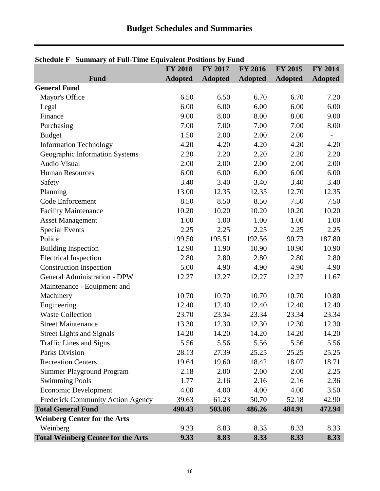| Schedule F Summary of Fun-Thile Equivalent Fositions by Fund |                | FY 2017        |                |                |                          |
|--------------------------------------------------------------|----------------|----------------|----------------|----------------|--------------------------|
| <b>Fund</b>                                                  | <b>FY 2018</b> |                | <b>FY 2016</b> | <b>FY 2015</b> | <b>FY 2014</b>           |
| <b>General Fund</b>                                          | <b>Adopted</b> | <b>Adopted</b> | <b>Adopted</b> | <b>Adopted</b> | <b>Adopted</b>           |
|                                                              | 6.50           | 6.50           | 6.70           | 6.70           | 7.20                     |
| Mayor's Office                                               | 6.00           | 6.00           | 6.00           | 6.00           | 6.00                     |
| Legal                                                        |                |                |                |                |                          |
| Finance                                                      | 9.00           | 8.00           | 8.00           | 8.00           | 9.00                     |
| Purchasing                                                   | 7.00           | 7.00           | 7.00           | 7.00           | 8.00                     |
| <b>Budget</b>                                                | 1.50           | 2.00           | 2.00           | 2.00           | $\overline{\phantom{a}}$ |
| <b>Information Technology</b>                                | 4.20           | 4.20           | 4.20           | 4.20           | 4.20                     |
| Geographic Information Systems                               | 2.20           | 2.20           | 2.20           | 2.20           | 2.20                     |
| Audio Visual                                                 | 2.00           | 2.00           | 2.00           | 2.00           | 2.00                     |
| <b>Human Resources</b>                                       | 6.00           | 6.00           | 6.00           | 6.00           | 6.00                     |
| Safety                                                       | 3.40           | 3.40           | 3.40           | 3.40           | 3.40                     |
| Planning                                                     | 13.00          | 12.35          | 12.35          | 12.70          | 12.35                    |
| <b>Code Enforcement</b>                                      | 8.50           | 8.50           | 8.50           | 7.50           | 7.50                     |
| <b>Facility Maintenance</b>                                  | 10.20          | 10.20          | 10.20          | 10.20          | 10.20                    |
| <b>Asset Management</b>                                      | 1.00           | 1.00           | 1.00           | 1.00           | 1.00                     |
| <b>Special Events</b>                                        | 2.25           | 2.25           | 2.25           | 2.25           | 2.25                     |
| Police                                                       | 199.50         | 195.51         | 192.56         | 190.73         | 187.80                   |
| <b>Building Inspection</b>                                   | 12.90          | 11.90          | 10.90          | 10.90          | 10.90                    |
| <b>Electrical Inspection</b>                                 | 2.80           | 2.80           | 2.80           | 2.80           | 2.80                     |
| <b>Construction Inspection</b>                               | 5.00           | 4.90           | 4.90           | 4.90           | 4.90                     |
| <b>General Administration - DPW</b>                          | 12.27          | 12.27          | 12.27          | 12.27          | 11.67                    |
| Maintenance - Equipment and                                  |                |                |                |                |                          |
| Machinery                                                    | 10.70          | 10.70          | 10.70          | 10.70          | 10.80                    |
| Engineering                                                  | 12.40          | 12.40          | 12.40          | 12.40          | 12.40                    |
| <b>Waste Collection</b>                                      | 23.70          | 23.34          | 23.34          | 23.34          | 23.34                    |
| <b>Street Maintenance</b>                                    | 13.30          | 12.30          | 12.30          | 12.30          | 12.30                    |
| <b>Street Lights and Signals</b>                             | 14.20          | 14.20          | 14.20          | 14.20          | 14.20                    |
| <b>Traffic Lines and Signs</b>                               | 5.56           | 5.56           | 5.56           | 5.56           | 5.56                     |
| <b>Parks Division</b>                                        | 28.13          | 27.39          | 25.25          | 25.25          | 25.25                    |
| <b>Recreation Centers</b>                                    | 19.64          | 19.60          | 18.42          | 18.07          | 18.71                    |
| <b>Summer Playground Program</b>                             | 2.18           | 2.00           | 2.00           | 2.00           | 2.25                     |
| <b>Swimming Pools</b>                                        | 1.77           | 2.16           | 2.16           | 2.16           | 2.36                     |
| <b>Economic Development</b>                                  | 4.00           | 4.00           | 4.00           | 4.00           | 3.50                     |
| Frederick Community Action Agency                            | 39.63          | 61.23          | 50.70          | 52.18          | 42.90                    |
| <b>Total General Fund</b>                                    | 490.43         | 503.86         | 486.26         | 484.91         | 472.94                   |
| <b>Weinberg Center for the Arts</b>                          |                |                |                |                |                          |
| Weinberg                                                     | 9.33           | 8.83           | 8.33           | 8.33           | 8.33                     |
| <b>Total Weinberg Center for the Arts</b>                    | 9.33           | 8.83           | 8.33           | 8.33           | 8.33                     |

## <span id="page-17-0"></span>**Schedule F Summary of Full-Time Equivalent Positions by Fund**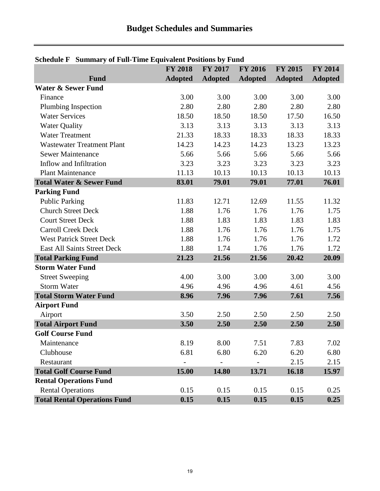|                                     | $\alpha$ is a summary of Fun-Time equivalent Fositions by Fund<br>FY 2017<br><b>FY 2018</b><br><b>FY 2016</b><br><b>FY 2015</b><br><b>FY 2014</b> |                |                |                |                |  |  |  |  |  |  |  |
|-------------------------------------|---------------------------------------------------------------------------------------------------------------------------------------------------|----------------|----------------|----------------|----------------|--|--|--|--|--|--|--|
| Fund                                | <b>Adopted</b>                                                                                                                                    | <b>Adopted</b> | <b>Adopted</b> | <b>Adopted</b> | <b>Adopted</b> |  |  |  |  |  |  |  |
| <b>Water &amp; Sewer Fund</b>       |                                                                                                                                                   |                |                |                |                |  |  |  |  |  |  |  |
| Finance                             | 3.00                                                                                                                                              | 3.00           | 3.00           | 3.00           | 3.00           |  |  |  |  |  |  |  |
| Plumbing Inspection                 | 2.80                                                                                                                                              | 2.80           | 2.80           | 2.80           | 2.80           |  |  |  |  |  |  |  |
| <b>Water Services</b>               | 18.50                                                                                                                                             | 18.50          | 18.50          | 17.50          | 16.50          |  |  |  |  |  |  |  |
| <b>Water Quality</b>                | 3.13                                                                                                                                              | 3.13           | 3.13           | 3.13           | 3.13           |  |  |  |  |  |  |  |
| <b>Water Treatment</b>              | 21.33                                                                                                                                             | 18.33          | 18.33          | 18.33          | 18.33          |  |  |  |  |  |  |  |
| <b>Wastewater Treatment Plant</b>   | 14.23                                                                                                                                             | 14.23          | 14.23          | 13.23          | 13.23          |  |  |  |  |  |  |  |
| <b>Sewer Maintenance</b>            | 5.66                                                                                                                                              | 5.66           | 5.66           | 5.66           | 5.66           |  |  |  |  |  |  |  |
| Inflow and Infiltration             | 3.23                                                                                                                                              | 3.23           | 3.23           | 3.23           | 3.23           |  |  |  |  |  |  |  |
| <b>Plant Maintenance</b>            | 11.13                                                                                                                                             | 10.13          | 10.13          | 10.13          | 10.13          |  |  |  |  |  |  |  |
| <b>Total Water &amp; Sewer Fund</b> | 83.01                                                                                                                                             | 79.01          | 79.01          | 77.01          | 76.01          |  |  |  |  |  |  |  |
| <b>Parking Fund</b>                 |                                                                                                                                                   |                |                |                |                |  |  |  |  |  |  |  |
| <b>Public Parking</b>               | 11.83                                                                                                                                             | 12.71          | 12.69          | 11.55          | 11.32          |  |  |  |  |  |  |  |
| <b>Church Street Deck</b>           | 1.88                                                                                                                                              | 1.76           | 1.76           | 1.76           | 1.75           |  |  |  |  |  |  |  |
| <b>Court Street Deck</b>            | 1.88                                                                                                                                              | 1.83           | 1.83           | 1.83           | 1.83           |  |  |  |  |  |  |  |
| <b>Carroll Creek Deck</b>           | 1.88                                                                                                                                              | 1.76           | 1.76           | 1.76           | 1.75           |  |  |  |  |  |  |  |
| <b>West Patrick Street Deck</b>     | 1.88                                                                                                                                              | 1.76           | 1.76           | 1.76           | 1.72           |  |  |  |  |  |  |  |
| <b>East All Saints Street Deck</b>  | 1.88                                                                                                                                              | 1.74           | 1.76           | 1.76           | 1.72           |  |  |  |  |  |  |  |
| <b>Total Parking Fund</b>           | 21.23                                                                                                                                             | 21.56          | 21.56          | 20.42          | 20.09          |  |  |  |  |  |  |  |
| <b>Storm Water Fund</b>             |                                                                                                                                                   |                |                |                |                |  |  |  |  |  |  |  |
| <b>Street Sweeping</b>              | 4.00                                                                                                                                              | 3.00           | 3.00           | 3.00           | 3.00           |  |  |  |  |  |  |  |
| <b>Storm Water</b>                  | 4.96                                                                                                                                              | 4.96           | 4.96           | 4.61           | 4.56           |  |  |  |  |  |  |  |
| <b>Total Storm Water Fund</b>       | 8.96                                                                                                                                              | 7.96           | 7.96           | 7.61           | 7.56           |  |  |  |  |  |  |  |
| <b>Airport Fund</b>                 |                                                                                                                                                   |                |                |                |                |  |  |  |  |  |  |  |
| Airport                             | 3.50                                                                                                                                              | 2.50           | 2.50           | 2.50           | 2.50           |  |  |  |  |  |  |  |
| <b>Total Airport Fund</b>           | 3.50                                                                                                                                              | 2.50           | 2.50           | 2.50           | 2.50           |  |  |  |  |  |  |  |
| <b>Golf Course Fund</b>             |                                                                                                                                                   |                |                |                |                |  |  |  |  |  |  |  |
| Maintenance                         | 8.19                                                                                                                                              | 8.00           | 7.51           | 7.83           | 7.02           |  |  |  |  |  |  |  |
| Clubhouse                           | 6.81                                                                                                                                              | 6.80           | 6.20           | 6.20           | 6.80           |  |  |  |  |  |  |  |
| Restaurant                          |                                                                                                                                                   |                |                | 2.15           | 2.15           |  |  |  |  |  |  |  |
| <b>Total Golf Course Fund</b>       | 15.00                                                                                                                                             | 14.80          | 13.71          | 16.18          | 15.97          |  |  |  |  |  |  |  |
| <b>Rental Operations Fund</b>       |                                                                                                                                                   |                |                |                |                |  |  |  |  |  |  |  |
| <b>Rental Operations</b>            | 0.15                                                                                                                                              | 0.15           | 0.15           | 0.15           | 0.25           |  |  |  |  |  |  |  |
| <b>Total Rental Operations Fund</b> | 0.15                                                                                                                                              | 0.15           | 0.15           | 0.15           | 0.25           |  |  |  |  |  |  |  |

## **Schedule F Summary of Full-Time Equivalent Positions by Fund**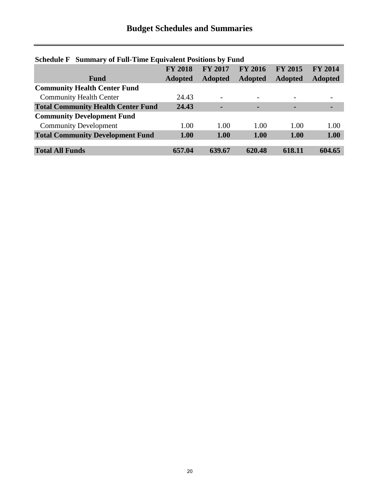$\overline{a}$ 

| Schedule F Summary of Fun-Thile Equivalent Fositions by Fund |                |                          |                |                |                |  |  |  |  |  |
|--------------------------------------------------------------|----------------|--------------------------|----------------|----------------|----------------|--|--|--|--|--|
|                                                              | <b>FY 2018</b> | <b>FY 2017</b>           | <b>FY 2016</b> | <b>FY 2015</b> | <b>FY 2014</b> |  |  |  |  |  |
| Fund                                                         | <b>Adopted</b> | <b>Adopted</b>           | <b>Adopted</b> | <b>Adopted</b> | <b>Adopted</b> |  |  |  |  |  |
| <b>Community Health Center Fund</b>                          |                |                          |                |                |                |  |  |  |  |  |
| <b>Community Health Center</b>                               | 24.43          | $\overline{\phantom{0}}$ |                |                |                |  |  |  |  |  |
| <b>Total Community Health Center Fund</b>                    | 24.43          |                          |                |                |                |  |  |  |  |  |
| <b>Community Development Fund</b>                            |                |                          |                |                |                |  |  |  |  |  |
| <b>Community Development</b>                                 | 1.00           | 1.00                     | 1.00           | 1.00           | 1.00           |  |  |  |  |  |
| <b>Total Community Development Fund</b>                      | 1.00           | 1.00                     | 1.00           | 1.00           | 1.00           |  |  |  |  |  |
|                                                              |                |                          |                |                |                |  |  |  |  |  |
| <b>Total All Funds</b>                                       | 657.04         | 639.67                   | 620.48         | 618.11         | 604.65         |  |  |  |  |  |

## **Schedule F Summary of Full-Time Equivalent Positions by Fund**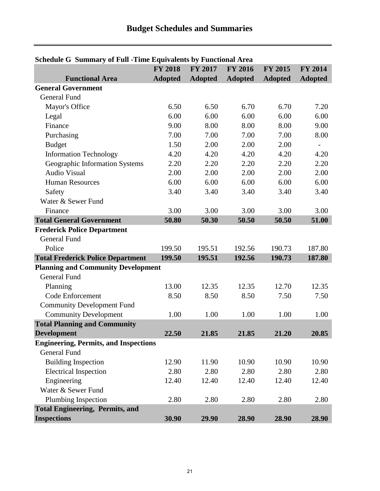<span id="page-20-0"></span>

| Schedule O' Sunnhary of Pull - Fille Equivalents by Pullchollar Area | <b>FY 2018</b> | <b>FY 2017</b> | <b>FY 2016</b> | <b>FY 2015</b> | <b>FY 2014</b> |
|----------------------------------------------------------------------|----------------|----------------|----------------|----------------|----------------|
| <b>Functional Area</b>                                               | <b>Adopted</b> | <b>Adopted</b> | <b>Adopted</b> | <b>Adopted</b> | <b>Adopted</b> |
| <b>General Government</b>                                            |                |                |                |                |                |
| <b>General Fund</b>                                                  |                |                |                |                |                |
| Mayor's Office                                                       | 6.50           | 6.50           | 6.70           | 6.70           | 7.20           |
| Legal                                                                | 6.00           | 6.00           | 6.00           | 6.00           | 6.00           |
| Finance                                                              | 9.00           | 8.00           | 8.00           | 8.00           | 9.00           |
| Purchasing                                                           | 7.00           | 7.00           | 7.00           | 7.00           | 8.00           |
| <b>Budget</b>                                                        | 1.50           | 2.00           | 2.00           | 2.00           | $\overline{a}$ |
| <b>Information Technology</b>                                        | 4.20           | 4.20           | 4.20           | 4.20           | 4.20           |
|                                                                      | 2.20           | 2.20           | 2.20           | 2.20           | 2.20           |
| Geographic Information Systems<br><b>Audio Visual</b>                | 2.00           | 2.00           | 2.00           |                |                |
|                                                                      |                |                |                | 2.00           | 2.00           |
| <b>Human Resources</b>                                               | 6.00           | 6.00           | 6.00           | 6.00           | 6.00           |
| Safety                                                               | 3.40           | 3.40           | 3.40           | 3.40           | 3.40           |
| Water & Sewer Fund                                                   |                |                |                |                |                |
| Finance                                                              | 3.00           | 3.00           | 3.00           | 3.00           | 3.00           |
| <b>Total General Government</b>                                      | 50.80          | 50.30          | 50.50          | 50.50          | 51.00          |
| <b>Frederick Police Department</b>                                   |                |                |                |                |                |
| <b>General Fund</b>                                                  |                |                |                |                |                |
| Police                                                               | 199.50         | 195.51         | 192.56         | 190.73         | 187.80         |
| <b>Total Frederick Police Department</b>                             | 199.50         | 195.51         | 192.56         | 190.73         | 187.80         |
| <b>Planning and Community Development</b>                            |                |                |                |                |                |
| <b>General Fund</b>                                                  |                |                |                |                |                |
| Planning                                                             | 13.00          | 12.35          | 12.35          | 12.70          | 12.35          |
| <b>Code Enforcement</b>                                              | 8.50           | 8.50           | 8.50           | 7.50           | 7.50           |
| <b>Community Development Fund</b>                                    |                |                |                |                |                |
| <b>Community Development</b>                                         | 1.00           | 1.00           | 1.00           | 1.00           | 1.00           |
| <b>Total Planning and Community</b>                                  |                |                |                |                |                |
| <b>Development</b>                                                   | 22.50          | 21.85          | 21.85          | 21.20          | 20.85          |
| <b>Engineering, Permits, and Inspections</b>                         |                |                |                |                |                |
| <b>General Fund</b>                                                  |                |                |                |                |                |
| <b>Building Inspection</b>                                           | 12.90          | 11.90          | 10.90          | 10.90          | 10.90          |
| <b>Electrical Inspection</b>                                         | 2.80           | 2.80           | 2.80           | 2.80           | 2.80           |
| Engineering                                                          | 12.40          | 12.40          | 12.40          | 12.40          | 12.40          |
| Water & Sewer Fund                                                   |                |                |                |                |                |
| Plumbing Inspection                                                  | 2.80           | 2.80           | 2.80           | 2.80           | 2.80           |
| <b>Total Engineering, Permits, and</b>                               |                |                |                |                |                |
| <b>Inspections</b>                                                   | 30.90          | 29.90          | 28.90          | 28.90          | 28.90          |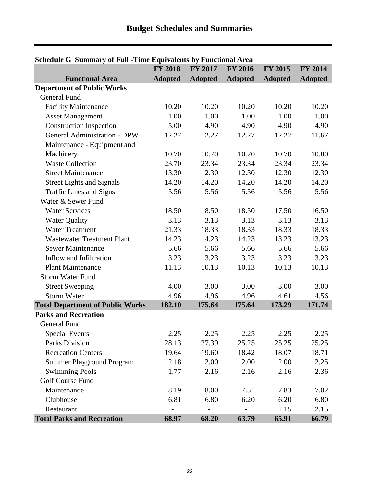| Denegale o "Danmary or Fan "Thile Equivalents by Fanchonal Area | <b>FY 2018</b> | <b>FY 2017</b> | <b>FY 2016</b> | <b>FY 2015</b> | <b>FY 2014</b> |
|-----------------------------------------------------------------|----------------|----------------|----------------|----------------|----------------|
| <b>Functional Area</b>                                          | <b>Adopted</b> | <b>Adopted</b> | <b>Adopted</b> | <b>Adopted</b> | <b>Adopted</b> |
| <b>Department of Public Works</b>                               |                |                |                |                |                |
| <b>General Fund</b>                                             |                |                |                |                |                |
| <b>Facility Maintenance</b>                                     | 10.20          | 10.20          | 10.20          | 10.20          | 10.20          |
| <b>Asset Management</b>                                         | 1.00           | 1.00           | 1.00           | 1.00           | 1.00           |
| <b>Construction Inspection</b>                                  | 5.00           | 4.90           | 4.90           | 4.90           | 4.90           |
| <b>General Administration - DPW</b>                             | 12.27          | 12.27          | 12.27          | 12.27          | 11.67          |
| Maintenance - Equipment and                                     |                |                |                |                |                |
| Machinery                                                       | 10.70          | 10.70          | 10.70          | 10.70          | 10.80          |
| <b>Waste Collection</b>                                         | 23.70          | 23.34          | 23.34          | 23.34          | 23.34          |
| <b>Street Maintenance</b>                                       | 13.30          | 12.30          | 12.30          | 12.30          | 12.30          |
| <b>Street Lights and Signals</b>                                | 14.20          | 14.20          | 14.20          | 14.20          | 14.20          |
| <b>Traffic Lines and Signs</b>                                  | 5.56           | 5.56           | 5.56           | 5.56           | 5.56           |
| Water & Sewer Fund                                              |                |                |                |                |                |
| <b>Water Services</b>                                           | 18.50          | 18.50          | 18.50          | 17.50          | 16.50          |
| <b>Water Quality</b>                                            | 3.13           | 3.13           | 3.13           | 3.13           | 3.13           |
| <b>Water Treatment</b>                                          | 21.33          | 18.33          | 18.33          | 18.33          | 18.33          |
| <b>Wastewater Treatment Plant</b>                               | 14.23          | 14.23          | 14.23          | 13.23          | 13.23          |
| <b>Sewer Maintenance</b>                                        | 5.66           | 5.66           | 5.66           | 5.66           | 5.66           |
| Inflow and Infiltration                                         | 3.23           | 3.23           | 3.23           | 3.23           | 3.23           |
| <b>Plant Maintenance</b>                                        | 11.13          | 10.13          | 10.13          | 10.13          | 10.13          |
| <b>Storm Water Fund</b>                                         |                |                |                |                |                |
| <b>Street Sweeping</b>                                          | 4.00           | 3.00           | 3.00           | 3.00           | 3.00           |
| <b>Storm Water</b>                                              | 4.96           | 4.96           | 4.96           | 4.61           | 4.56           |
| <b>Total Department of Public Works</b>                         | 182.10         | 175.64         | 175.64         | 173.29         | 171.74         |
| <b>Parks and Recreation</b>                                     |                |                |                |                |                |
| <b>General Fund</b>                                             |                |                |                |                |                |
| <b>Special Events</b>                                           | 2.25           | 2.25           | 2.25           | 2.25           | 2.25           |
| <b>Parks Division</b>                                           | 28.13          | 27.39          | 25.25          | 25.25          | 25.25          |
| <b>Recreation Centers</b>                                       | 19.64          | 19.60          | 18.42          | 18.07          | 18.71          |
| <b>Summer Playground Program</b>                                | 2.18           | 2.00           | 2.00           | 2.00           | 2.25           |
| <b>Swimming Pools</b>                                           | 1.77           | 2.16           | 2.16           | 2.16           | 2.36           |
| Golf Course Fund                                                |                |                |                |                |                |
| Maintenance                                                     | 8.19           | 8.00           | 7.51           | 7.83           | 7.02           |
| Clubhouse                                                       | 6.81           | 6.80           | 6.20           | 6.20           | 6.80           |
| Restaurant                                                      |                |                |                | 2.15           | 2.15           |
| <b>Total Parks and Recreation</b>                               | 68.97          | 68.20          | 63.79          | 65.91          | 66.79          |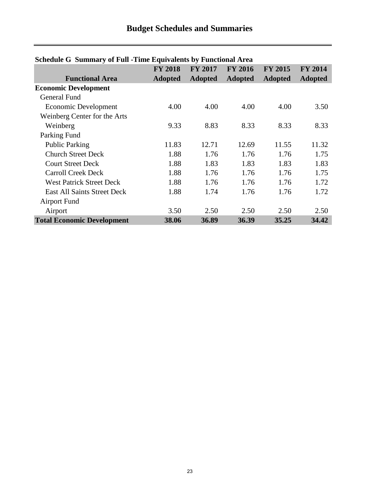| Denegale o "Danmary or Fair"-Thile Equivalents by Fanchonal Area |                |                |                |                |                |
|------------------------------------------------------------------|----------------|----------------|----------------|----------------|----------------|
|                                                                  | <b>FY 2018</b> | <b>FY 2017</b> | <b>FY 2016</b> | <b>FY 2015</b> | <b>FY 2014</b> |
| <b>Functional Area</b>                                           | <b>Adopted</b> | <b>Adopted</b> | <b>Adopted</b> | <b>Adopted</b> | <b>Adopted</b> |
| <b>Economic Development</b>                                      |                |                |                |                |                |
| General Fund                                                     |                |                |                |                |                |
| Economic Development                                             | 4.00           | 4.00           | 4.00           | 4.00           | 3.50           |
| Weinberg Center for the Arts                                     |                |                |                |                |                |
| Weinberg                                                         | 9.33           | 8.83           | 8.33           | 8.33           | 8.33           |
| Parking Fund                                                     |                |                |                |                |                |
| <b>Public Parking</b>                                            | 11.83          | 12.71          | 12.69          | 11.55          | 11.32          |
| <b>Church Street Deck</b>                                        | 1.88           | 1.76           | 1.76           | 1.76           | 1.75           |
| <b>Court Street Deck</b>                                         | 1.88           | 1.83           | 1.83           | 1.83           | 1.83           |
| <b>Carroll Creek Deck</b>                                        | 1.88           | 1.76           | 1.76           | 1.76           | 1.75           |
| <b>West Patrick Street Deck</b>                                  | 1.88           | 1.76           | 1.76           | 1.76           | 1.72           |
| <b>East All Saints Street Deck</b>                               | 1.88           | 1.74           | 1.76           | 1.76           | 1.72           |
| <b>Airport Fund</b>                                              |                |                |                |                |                |
| Airport                                                          | 3.50           | 2.50           | 2.50           | 2.50           | 2.50           |
| <b>Total Economic Development</b>                                | 38.06          | 36.89          | 36.39          | 35.25          | 34.42          |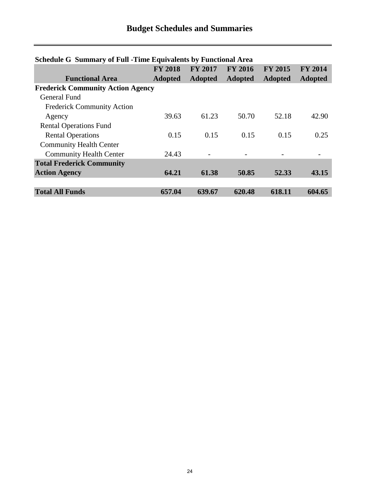|                                          | <b>FY 2018</b> | <b>FY 2017</b> | <b>FY 2016</b> | <b>FY 2015</b> | <b>FY 2014</b> |  |  |  |
|------------------------------------------|----------------|----------------|----------------|----------------|----------------|--|--|--|
| <b>Functional Area</b>                   | <b>Adopted</b> | <b>Adopted</b> | <b>Adopted</b> | <b>Adopted</b> | <b>Adopted</b> |  |  |  |
| <b>Frederick Community Action Agency</b> |                |                |                |                |                |  |  |  |
| General Fund                             |                |                |                |                |                |  |  |  |
| <b>Frederick Community Action</b>        |                |                |                |                |                |  |  |  |
| Agency                                   | 39.63          | 61.23          | 50.70          | 52.18          | 42.90          |  |  |  |
| <b>Rental Operations Fund</b>            |                |                |                |                |                |  |  |  |
| <b>Rental Operations</b>                 | 0.15           | 0.15           | 0.15           | 0.15           | 0.25           |  |  |  |
| <b>Community Health Center</b>           |                |                |                |                |                |  |  |  |
| <b>Community Health Center</b>           | 24.43          |                |                |                |                |  |  |  |
| <b>Total Frederick Community</b>         |                |                |                |                |                |  |  |  |
| <b>Action Agency</b>                     | 64.21          | 61.38          | 50.85          | 52.33          | 43.15          |  |  |  |
|                                          |                |                |                |                |                |  |  |  |
| <b>Total All Funds</b>                   | 657.04         | 639.67         | 620.48         | 618.11         | 604.65         |  |  |  |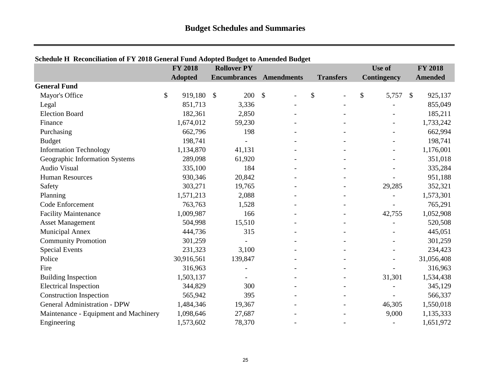|                                       | <b>FY 2018</b> | <b>Rollover PY</b>   |                          |                  | Use of      | <b>FY 2018</b>           |
|---------------------------------------|----------------|----------------------|--------------------------|------------------|-------------|--------------------------|
|                                       | <b>Adopted</b> | <b>Encumbrances</b>  | <b>Amendments</b>        | <b>Transfers</b> | Contingency | Amended                  |
| <b>General Fund</b>                   |                |                      |                          |                  |             |                          |
| Mayor's Office                        | \$<br>919,180  | 200<br>$\mathcal{S}$ | $\sqrt{3}$               | \$               | \$<br>5,757 | 925,137<br>$\mathcal{S}$ |
| Legal                                 | 851,713        | 3,336                |                          |                  |             | 855,049                  |
| <b>Election Board</b>                 | 182,361        | 2,850                |                          |                  |             | 185,211                  |
| Finance                               | 1,674,012      | 59,230               |                          |                  |             | 1,733,242                |
| Purchasing                            | 662,796        | 198                  |                          |                  |             | 662,994                  |
| <b>Budget</b>                         | 198,741        |                      |                          |                  |             | 198,741                  |
| <b>Information Technology</b>         | 1,134,870      | 41,131               |                          |                  |             | 1,176,001                |
| Geographic Information Systems        | 289,098        | 61,920               |                          |                  |             | 351,018                  |
| <b>Audio Visual</b>                   | 335,100        | 184                  | $\overline{\phantom{0}}$ | $\blacksquare$   |             | 335,284                  |
| <b>Human Resources</b>                | 930,346        | 20,842               |                          |                  |             | 951,188                  |
| Safety                                | 303,271        | 19,765               |                          |                  | 29,285      | 352,321                  |
| Planning                              | 1,571,213      | 2,088                |                          |                  |             | 1,573,301                |
| Code Enforcement                      | 763,763        | 1,528                |                          |                  |             | 765,291                  |
| <b>Facility Maintenance</b>           | 1,009,987      | 166                  |                          |                  | 42,755      | 1,052,908                |
| <b>Asset Management</b>               | 504,998        | 15,510               |                          |                  |             | 520,508                  |
| <b>Municipal Annex</b>                | 444,736        | 315                  |                          |                  |             | 445,051                  |
| <b>Community Promotion</b>            | 301,259        |                      |                          |                  |             | 301,259                  |
| <b>Special Events</b>                 | 231,323        | 3,100                |                          |                  |             | 234,423                  |
| Police                                | 30,916,561     | 139,847              |                          |                  |             | 31,056,408               |
| Fire                                  | 316,963        |                      |                          | $\blacksquare$   |             | 316,963                  |
| <b>Building Inspection</b>            | 1,503,137      |                      |                          |                  | 31,301      | 1,534,438                |
| <b>Electrical Inspection</b>          | 344,829        | 300                  |                          |                  |             | 345,129                  |
| <b>Construction Inspection</b>        | 565,942        | 395                  |                          |                  |             | 566,337                  |
| <b>General Administration - DPW</b>   | 1,484,346      | 19,367               |                          |                  | 46,305      | 1,550,018                |
| Maintenance - Equipment and Machinery | 1,098,646      | 27,687               |                          |                  | 9,000       | 1,135,333                |
| Engineering                           | 1,573,602      | 78,370               |                          |                  |             | 1,651,972                |

## <span id="page-24-0"></span>**Schedule H Reconciliation of FY 2018 General Fund Adopted Budget to Amended Budget**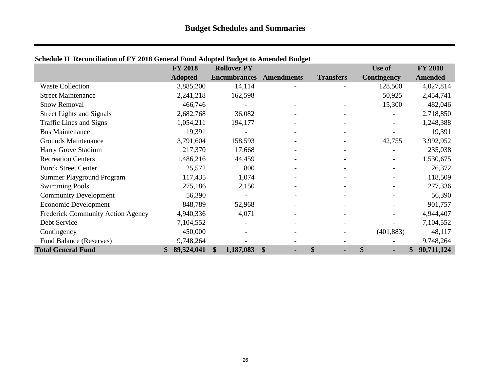|                                          | <b>FY 2018</b>   | <b>Rollover PY</b>  |                   |                          | Use of                   | <b>FY 2018</b>   |
|------------------------------------------|------------------|---------------------|-------------------|--------------------------|--------------------------|------------------|
|                                          | <b>Adopted</b>   | <b>Encumbrances</b> | <b>Amendments</b> | <b>Transfers</b>         | <b>Contingency</b>       | <b>Amended</b>   |
| <b>Waste Collection</b>                  | 3,885,200        | 14,114              |                   |                          | 128,500                  | 4,027,814        |
| <b>Street Maintenance</b>                | 2,241,218        | 162,598             |                   |                          | 50,925                   | 2,454,741        |
| <b>Snow Removal</b>                      | 466,746          |                     |                   |                          | 15,300                   | 482,046          |
| <b>Street Lights and Signals</b>         | 2,682,768        | 36,082              |                   | $\overline{\phantom{a}}$ | $\overline{\phantom{a}}$ | 2,718,850        |
| <b>Traffic Lines and Signs</b>           | 1,054,211        | 194,177             |                   |                          |                          | 1,248,388        |
| <b>Bus Maintenance</b>                   | 19,391           |                     |                   |                          |                          | 19,391           |
| <b>Grounds Maintenance</b>               | 3,791,604        | 158,593             |                   |                          | 42,755                   | 3,992,952        |
| Harry Grove Stadium                      | 217,370          | 17,668              |                   |                          |                          | 235,038          |
| <b>Recreation Centers</b>                | 1,486,216        | 44,459              |                   |                          |                          | 1,530,675        |
| <b>Burck Street Center</b>               | 25,572           | 800                 |                   |                          |                          | 26,372           |
| Summer Playground Program                | 117,435          | 1,074               |                   |                          |                          | 118,509          |
| <b>Swimming Pools</b>                    | 275,186          | 2,150               |                   |                          |                          | 277,336          |
| <b>Community Development</b>             | 56,390           |                     |                   | $\overline{\phantom{a}}$ |                          | 56,390           |
| Economic Development                     | 848,789          | 52,968              |                   |                          |                          | 901,757          |
| <b>Frederick Community Action Agency</b> | 4,940,336        | 4,071               |                   |                          |                          | 4,944,407        |
| Debt Service                             | 7,104,552        |                     |                   |                          |                          | 7,104,552        |
| Contingency                              | 450,000          |                     |                   |                          | (401, 883)               | 48,117           |
| <b>Fund Balance (Reserves)</b>           | 9,748,264        |                     |                   |                          |                          | 9,748,264        |
| <b>Total General Fund</b>                | 89,524,041<br>\$ | \$<br>1,187,083     | \$                | \$<br>$\blacksquare$     | \$<br>÷                  | 90,711,124<br>\$ |

## **Schedule H Reconciliation of FY 2018 General Fund Adopted Budget to Amended Budget**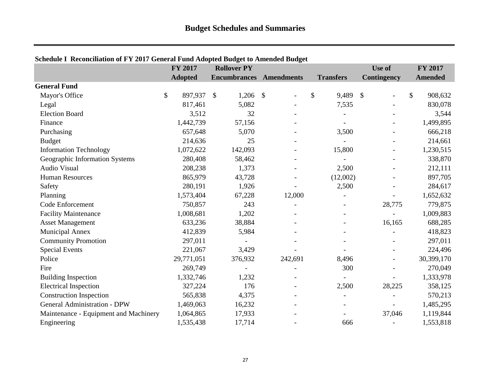|                                       | FY 2017        | <b>Rollover PY</b>             |         |                          | Use of         | FY 2017        |
|---------------------------------------|----------------|--------------------------------|---------|--------------------------|----------------|----------------|
|                                       | <b>Adopted</b> | <b>Encumbrances</b> Amendments |         | <b>Transfers</b>         | Contingency    | <b>Amended</b> |
| <b>General Fund</b>                   |                |                                |         |                          |                |                |
| Mayor's Office                        | \$<br>897,937  | $1,206$ \$<br>$\mathcal{S}$    |         | \$<br>9,489              | \$             | \$<br>908,632  |
| Legal                                 | 817,461        | 5,082                          |         | 7,535                    |                | 830,078        |
| <b>Election Board</b>                 | 3,512          | 32                             |         |                          |                | 3,544          |
| Finance                               | 1,442,739      | 57,156                         |         |                          |                | 1,499,895      |
| Purchasing                            | 657,648        | 5,070                          |         | 3,500                    |                | 666,218        |
| <b>Budget</b>                         | 214,636        | 25                             |         |                          |                | 214,661        |
| <b>Information Technology</b>         | 1,072,622      | 142,093                        |         | 15,800                   |                | 1,230,515      |
| Geographic Information Systems        | 280,408        | 58,462                         |         |                          |                | 338,870        |
| <b>Audio Visual</b>                   | 208,238        | 1,373                          |         | 2,500                    | $\blacksquare$ | 212,111        |
| <b>Human Resources</b>                | 865,979        | 43,728                         |         | (12,002)                 |                | 897,705        |
| Safety                                | 280,191        | 1,926                          |         | 2,500                    |                | 284,617        |
| Planning                              | 1,573,404      | 67,228                         | 12,000  |                          |                | 1,652,632      |
| Code Enforcement                      | 750,857        | 243                            |         | $\overline{\phantom{a}}$ | 28,775         | 779,875        |
| <b>Facility Maintenance</b>           | 1,008,681      | 1,202                          |         |                          |                | 1,009,883      |
| <b>Asset Management</b>               | 633,236        | 38,884                         |         |                          | 16,165         | 688,285        |
| <b>Municipal Annex</b>                | 412,839        | 5,984                          |         |                          |                | 418,823        |
| <b>Community Promotion</b>            | 297,011        |                                |         |                          |                | 297,011        |
| <b>Special Events</b>                 | 221,067        | 3,429                          |         |                          |                | 224,496        |
| Police                                | 29,771,051     | 376,932                        | 242,691 | 8,496                    |                | 30,399,170     |
| Fire                                  | 269,749        |                                |         | 300                      |                | 270,049        |
| <b>Building Inspection</b>            | 1,332,746      | 1,232                          |         |                          |                | 1,333,978      |
| <b>Electrical Inspection</b>          | 327,224        | 176                            |         | 2,500                    | 28,225         | 358,125        |
| <b>Construction Inspection</b>        | 565,838        | 4,375                          |         |                          |                | 570,213        |
| <b>General Administration - DPW</b>   | 1,469,063      | 16,232                         |         |                          |                | 1,485,295      |
| Maintenance - Equipment and Machinery | 1,064,865      | 17,933                         |         |                          | 37,046         | 1,119,844      |
| Engineering                           | 1,535,438      | 17,714                         |         | 666                      |                | 1,553,818      |

## <span id="page-26-0"></span>**Schedule I Reconciliation of FY 2017 General Fund Adopted Budget to Amended Budget**